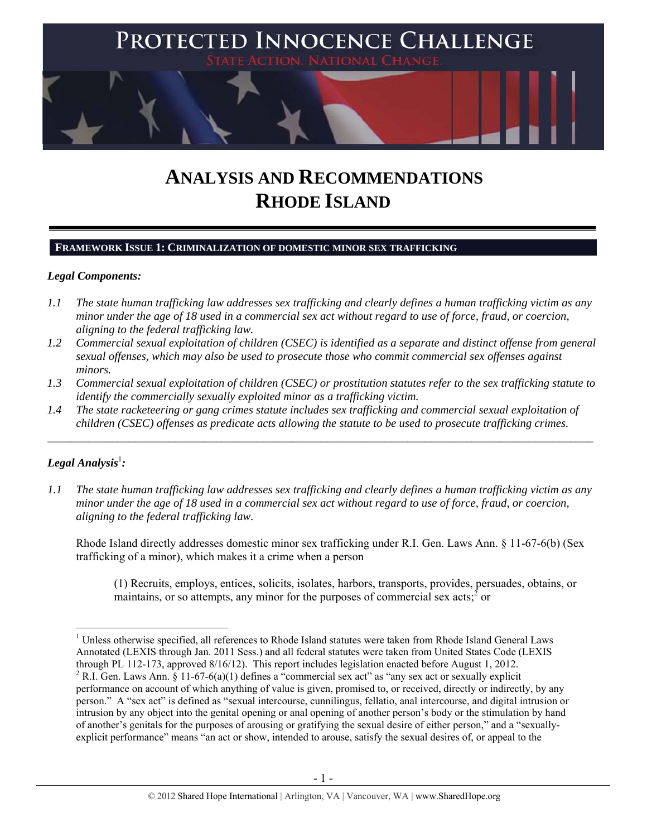

# **ANALYSIS AND RECOMMENDATIONS RHODE ISLAND**

# **FRAMEWORK ISSUE 1: CRIMINALIZATION OF DOMESTIC MINOR SEX TRAFFICKING**

## *Legal Components:*

- *1.1 The state human trafficking law addresses sex trafficking and clearly defines a human trafficking victim as any minor under the age of 18 used in a commercial sex act without regard to use of force, fraud, or coercion, aligning to the federal trafficking law.*
- *1.2 Commercial sexual exploitation of children (CSEC) is identified as a separate and distinct offense from general sexual offenses, which may also be used to prosecute those who commit commercial sex offenses against minors.*
- *1.3 Commercial sexual exploitation of children (CSEC) or prostitution statutes refer to the sex trafficking statute to identify the commercially sexually exploited minor as a trafficking victim.*

 $\mathcal{L}_\mathcal{L} = \{ \mathcal{L}_\mathcal{L} = \{ \mathcal{L}_\mathcal{L} = \{ \mathcal{L}_\mathcal{L} = \{ \mathcal{L}_\mathcal{L} = \{ \mathcal{L}_\mathcal{L} = \{ \mathcal{L}_\mathcal{L} = \{ \mathcal{L}_\mathcal{L} = \{ \mathcal{L}_\mathcal{L} = \{ \mathcal{L}_\mathcal{L} = \{ \mathcal{L}_\mathcal{L} = \{ \mathcal{L}_\mathcal{L} = \{ \mathcal{L}_\mathcal{L} = \{ \mathcal{L}_\mathcal{L} = \{ \mathcal{L}_\mathcal{$ 

*1.4 The state racketeering or gang crimes statute includes sex trafficking and commercial sexual exploitation of children (CSEC) offenses as predicate acts allowing the statute to be used to prosecute trafficking crimes.* 

# $\bm{L}$ egal Analysis<sup>1</sup>:

*1.1 The state human trafficking law addresses sex trafficking and clearly defines a human trafficking victim as any minor under the age of 18 used in a commercial sex act without regard to use of force, fraud, or coercion, aligning to the federal trafficking law.*

Rhode Island directly addresses domestic minor sex trafficking under R.I. Gen. Laws Ann. § 11-67-6(b) (Sex trafficking of a minor), which makes it a crime when a person

(1) Recruits, employs, entices, solicits, isolates, harbors, transports, provides, persuades, obtains, or maintains, or so attempts, any minor for the purposes of commercial sex acts;  $\delta$  or

<sup>&</sup>lt;sup>1</sup> Unless otherwise specified, all references to Rhode Island statutes were taken from Rhode Island General Laws Annotated (LEXIS through Jan. 2011 Sess.) and all federal statutes were taken from United States Code (LEXIS through PL 112-173, approved 8/16/12). This report includes legislation enacted before August 1, 2012. <sup>2</sup> R.I. Gen. Laws Ann. § 11-67-6(a)(1) defines a "commercial sex act" as "any sex act or sexually explicit performance on account of which anything of value is given, promised to, or received, directly or indirectly, by any person." A "sex act" is defined as "sexual intercourse, cunnilingus, fellatio, anal intercourse, and digital intrusion or intrusion by any object into the genital opening or anal opening of another person's body or the stimulation by hand of another's genitals for the purposes of arousing or gratifying the sexual desire of either person," and a "sexuallyexplicit performance" means "an act or show, intended to arouse, satisfy the sexual desires of, or appeal to the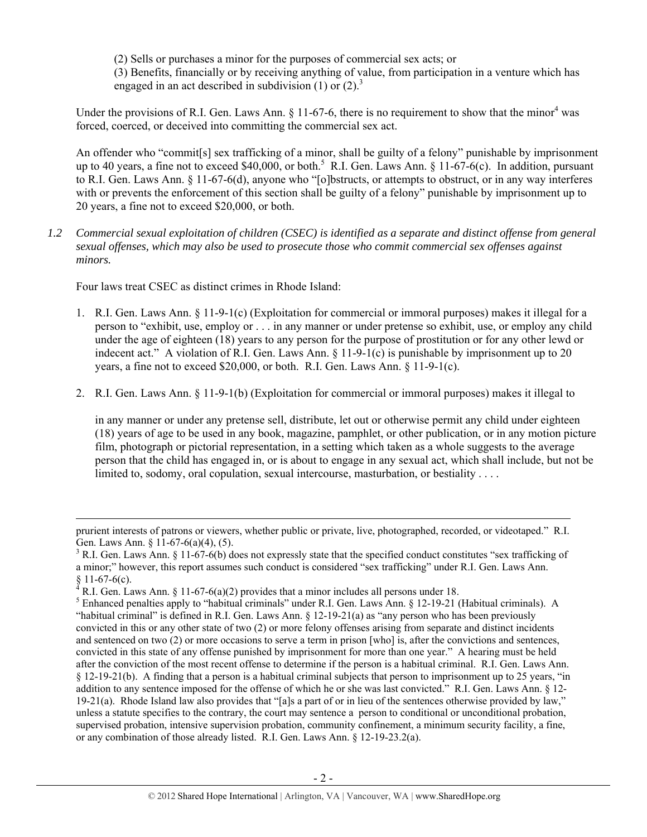(2) Sells or purchases a minor for the purposes of commercial sex acts; or (3) Benefits, financially or by receiving anything of value, from participation in a venture which has engaged in an act described in subdivision  $(1)$  or  $(2)$ .<sup>3</sup>

Under the provisions of R.I. Gen. Laws Ann.  $\S$  11-67-6, there is no requirement to show that the minor<sup>4</sup> was forced, coerced, or deceived into committing the commercial sex act.

An offender who "commit[s] sex trafficking of a minor, shall be guilty of a felony" punishable by imprisonment up to 40 years, a fine not to exceed \$40,000, or both.<sup>5</sup> R.I. Gen. Laws Ann. § 11-67-6(c). In addition, pursuant to R.I. Gen. Laws Ann. § 11-67-6(d), anyone who "[o]bstructs, or attempts to obstruct, or in any way interferes with or prevents the enforcement of this section shall be guilty of a felony" punishable by imprisonment up to 20 years, a fine not to exceed \$20,000, or both.

*1.2 Commercial sexual exploitation of children (CSEC) is identified as a separate and distinct offense from general sexual offenses, which may also be used to prosecute those who commit commercial sex offenses against minors.*

Four laws treat CSEC as distinct crimes in Rhode Island:

- 1. R.I. Gen. Laws Ann. § 11-9-1(c) (Exploitation for commercial or immoral purposes) makes it illegal for a person to "exhibit, use, employ or . . . in any manner or under pretense so exhibit, use, or employ any child under the age of eighteen (18) years to any person for the purpose of prostitution or for any other lewd or indecent act." A violation of R.I. Gen. Laws Ann. § 11-9-1(c) is punishable by imprisonment up to 20 years, a fine not to exceed \$20,000, or both. R.I. Gen. Laws Ann. § 11-9-1(c).
- 2. R.I. Gen. Laws Ann. § 11-9-1(b) (Exploitation for commercial or immoral purposes) makes it illegal to

in any manner or under any pretense sell, distribute, let out or otherwise permit any child under eighteen (18) years of age to be used in any book, magazine, pamphlet, or other publication, or in any motion picture film, photograph or pictorial representation, in a setting which taken as a whole suggests to the average person that the child has engaged in, or is about to engage in any sexual act, which shall include, but not be limited to, sodomy, oral copulation, sexual intercourse, masturbation, or bestiality . . . .

<sup>&</sup>lt;u> 1989 - Johann Stoff, fransk politik (d. 1989)</u> prurient interests of patrons or viewers, whether public or private, live, photographed, recorded, or videotaped." R.I. Gen. Laws Ann. § 11-67-6(a)(4), (5).

 $3$  R.I. Gen. Laws Ann. § 11-67-6(b) does not expressly state that the specified conduct constitutes "sex trafficking of a minor;" however, this report assumes such conduct is considered "sex trafficking" under R.I. Gen. Laws Ann.  $§ 11-67-6(c).$ 

<sup>4</sup> R.I. Gen. Laws Ann. § 11-67-6(a)(2) provides that a minor includes all persons under 18.

<sup>&</sup>lt;sup>5</sup> Enhanced penalties apply to "habitual criminals" under R.I. Gen. Laws Ann. § 12-19-21 (Habitual criminals). A "habitual criminal" is defined in R.I. Gen. Laws Ann. § 12-19-21(a) as "any person who has been previously convicted in this or any other state of two (2) or more felony offenses arising from separate and distinct incidents and sentenced on two (2) or more occasions to serve a term in prison [who] is, after the convictions and sentences, convicted in this state of any offense punished by imprisonment for more than one year." A hearing must be held after the conviction of the most recent offense to determine if the person is a habitual criminal. R.I. Gen. Laws Ann. § 12-19-21(b). A finding that a person is a habitual criminal subjects that person to imprisonment up to 25 years, "in addition to any sentence imposed for the offense of which he or she was last convicted." R.I. Gen. Laws Ann. § 12- 19-21(a). Rhode Island law also provides that "[a]s a part of or in lieu of the sentences otherwise provided by law," unless a statute specifies to the contrary, the court may sentence a person to conditional or unconditional probation, supervised probation, intensive supervision probation, community confinement, a minimum security facility, a fine, or any combination of those already listed. R.I. Gen. Laws Ann. § 12-19-23.2(a).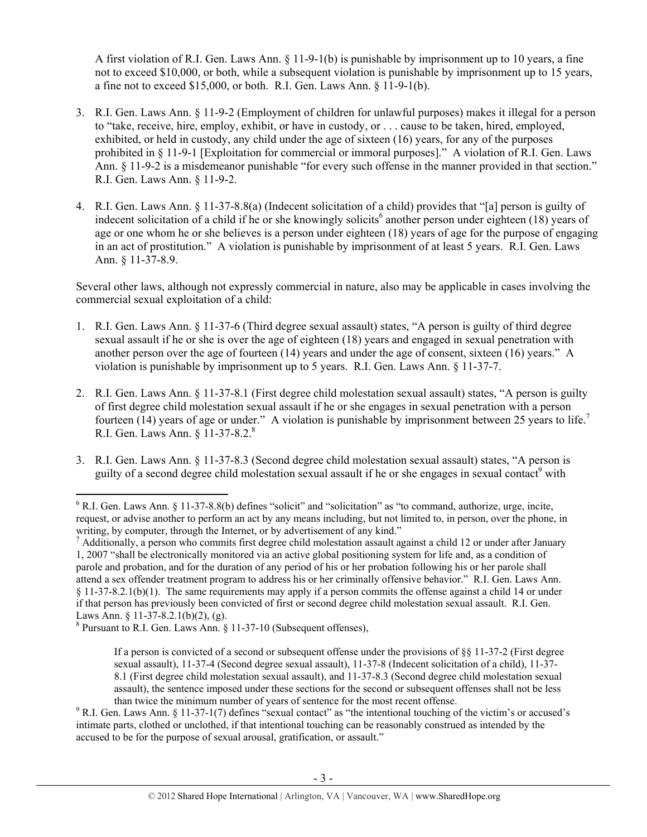A first violation of R.I. Gen. Laws Ann. § 11-9-1(b) is punishable by imprisonment up to 10 years, a fine not to exceed \$10,000, or both, while a subsequent violation is punishable by imprisonment up to 15 years. a fine not to exceed \$15,000, or both. R.I. Gen. Laws Ann. § 11-9-1(b).

- 3. R.I. Gen. Laws Ann. § 11-9-2 (Employment of children for unlawful purposes) makes it illegal for a person to "take, receive, hire, employ, exhibit, or have in custody, or . . . cause to be taken, hired, employed, exhibited, or held in custody, any child under the age of sixteen (16) years, for any of the purposes prohibited in § 11-9-1 [Exploitation for commercial or immoral purposes]." A violation of R.I. Gen. Laws Ann. § 11-9-2 is a misdemeanor punishable "for every such offense in the manner provided in that section." R.I. Gen. Laws Ann. § 11-9-2.
- 4. R.I. Gen. Laws Ann. § 11-37-8.8(a) (Indecent solicitation of a child) provides that "[a] person is guilty of indecent solicitation of a child if he or she knowingly solicits<sup>6</sup> another person under eighteen (18) years of age or one whom he or she believes is a person under eighteen (18) years of age for the purpose of engaging in an act of prostitution." A violation is punishable by imprisonment of at least 5 years. R.I. Gen. Laws Ann. § 11-37-8.9.

Several other laws, although not expressly commercial in nature, also may be applicable in cases involving the commercial sexual exploitation of a child:

- 1. R.I. Gen. Laws Ann. § 11-37-6 (Third degree sexual assault) states, "A person is guilty of third degree sexual assault if he or she is over the age of eighteen (18) years and engaged in sexual penetration with another person over the age of fourteen (14) years and under the age of consent, sixteen (16) years." A violation is punishable by imprisonment up to 5 years. R.I. Gen. Laws Ann. § 11-37-7.
- 2. R.I. Gen. Laws Ann. § 11-37-8.1 (First degree child molestation sexual assault) states, "A person is guilty of first degree child molestation sexual assault if he or she engages in sexual penetration with a person fourteen  $(14)$  years of age or under." A violation is punishable by imprisonment between 25 years to life.<sup>7</sup> R.I. Gen. Laws Ann. § 11-37-8.2.8
- 3. R.I. Gen. Laws Ann. § 11-37-8.3 (Second degree child molestation sexual assault) states, "A person is guilty of a second degree child molestation sexual assault if he or she engages in sexual contact<sup>9</sup> with

<sup>&</sup>lt;sup>6</sup> R.I. Gen. Laws Ann. § 11-37-8.8(b) defines "solicit" and "solicitation" as "to command, authorize, urge, incite, request, or advise another to perform an act by any means including, but not limited to, in person, over the phone, in writing, by computer, through the Internet, or by advertisement of any kind."

 $<sup>7</sup>$  Additionally, a person who commits first degree child molestation assault against a child 12 or under after January</sup> 1, 2007 "shall be electronically monitored via an active global positioning system for life and, as a condition of parole and probation, and for the duration of any period of his or her probation following his or her parole shall attend a sex offender treatment program to address his or her criminally offensive behavior." R.I. Gen. Laws Ann. § 11-37-8.2.1(b)(1). The same requirements may apply if a person commits the offense against a child 14 or under if that person has previously been convicted of first or second degree child molestation sexual assault. R.I. Gen. Laws Ann. § 11-37-8.2.1(b)(2), (g).

 $8$  Pursuant to R.I. Gen. Laws Ann.  $\S$  11-37-10 (Subsequent offenses),

If a person is convicted of a second or subsequent offense under the provisions of  $\S$ § 11-37-2 (First degree sexual assault), 11-37-4 (Second degree sexual assault), 11-37-8 (Indecent solicitation of a child), 11-37- 8.1 (First degree child molestation sexual assault), and 11-37-8.3 (Second degree child molestation sexual assault), the sentence imposed under these sections for the second or subsequent offenses shall not be less than twice the minimum number of years of sentence for the most recent offense. 9

<sup>&</sup>lt;sup>9</sup> R.I. Gen. Laws Ann. § 11-37-1(7) defines "sexual contact" as "the intentional touching of the victim's or accused's intimate parts, clothed or unclothed, if that intentional touching can be reasonably construed as intended by the accused to be for the purpose of sexual arousal, gratification, or assault."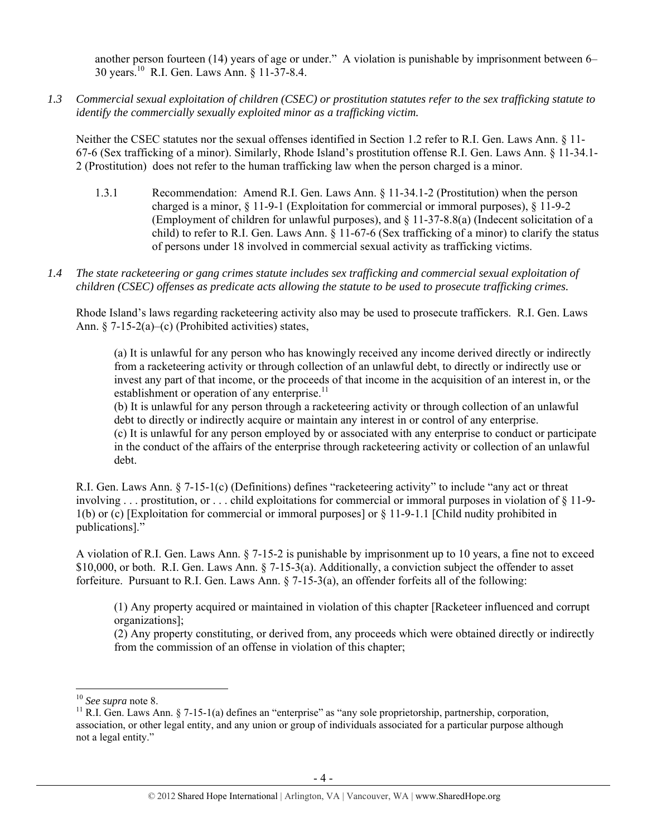another person fourteen (14) years of age or under." A violation is punishable by imprisonment between 6– 30 years.10 R.I. Gen. Laws Ann. § 11-37-8.4.

*1.3 Commercial sexual exploitation of children (CSEC) or prostitution statutes refer to the sex trafficking statute to identify the commercially sexually exploited minor as a trafficking victim.* 

Neither the CSEC statutes nor the sexual offenses identified in Section 1.2 refer to R.I. Gen. Laws Ann. § 11- 67-6 (Sex trafficking of a minor). Similarly, Rhode Island's prostitution offense R.I. Gen. Laws Ann. § 11-34.1- 2 (Prostitution) does not refer to the human trafficking law when the person charged is a minor.

- 1.3.1 Recommendation: Amend R.I. Gen. Laws Ann. § 11-34.1-2 (Prostitution) when the person charged is a minor, § 11-9-1 (Exploitation for commercial or immoral purposes), § 11-9-2 (Employment of children for unlawful purposes), and § 11-37-8.8(a) (Indecent solicitation of a child) to refer to R.I. Gen. Laws Ann. § 11-67-6 (Sex trafficking of a minor) to clarify the status of persons under 18 involved in commercial sexual activity as trafficking victims.
- *1.4 The state racketeering or gang crimes statute includes sex trafficking and commercial sexual exploitation of children (CSEC) offenses as predicate acts allowing the statute to be used to prosecute trafficking crimes.*

Rhode Island's laws regarding racketeering activity also may be used to prosecute traffickers. R.I. Gen. Laws Ann. § 7-15-2(a)–(c) (Prohibited activities) states,

(a) It is unlawful for any person who has knowingly received any income derived directly or indirectly from a racketeering activity or through collection of an unlawful debt, to directly or indirectly use or invest any part of that income, or the proceeds of that income in the acquisition of an interest in, or the establishment or operation of any enterprise. $^{11}$ 

(b) It is unlawful for any person through a racketeering activity or through collection of an unlawful debt to directly or indirectly acquire or maintain any interest in or control of any enterprise. (c) It is unlawful for any person employed by or associated with any enterprise to conduct or participate in the conduct of the affairs of the enterprise through racketeering activity or collection of an unlawful debt.

R.I. Gen. Laws Ann. § 7-15-1(c) (Definitions) defines "racketeering activity" to include "any act or threat involving . . . prostitution, or . . . child exploitations for commercial or immoral purposes in violation of § 11-9- 1(b) or (c) [Exploitation for commercial or immoral purposes] or § 11-9-1.1 [Child nudity prohibited in publications]."

A violation of R.I. Gen. Laws Ann. § 7-15-2 is punishable by imprisonment up to 10 years, a fine not to exceed \$10,000, or both. R.I. Gen. Laws Ann. § 7-15-3(a). Additionally, a conviction subject the offender to asset forfeiture. Pursuant to R.I. Gen. Laws Ann. § 7-15-3(a), an offender forfeits all of the following:

(1) Any property acquired or maintained in violation of this chapter [Racketeer influenced and corrupt organizations];

(2) Any property constituting, or derived from, any proceeds which were obtained directly or indirectly from the commission of an offense in violation of this chapter;

<sup>&</sup>lt;sup>10</sup> *See supra* note 8.<br><sup>11</sup> R.I. Gen. Laws Ann. § 7-15-1(a) defines an "enterprise" as "any sole proprietorship, partnership, corporation, association, or other legal entity, and any union or group of individuals associated for a particular purpose although not a legal entity."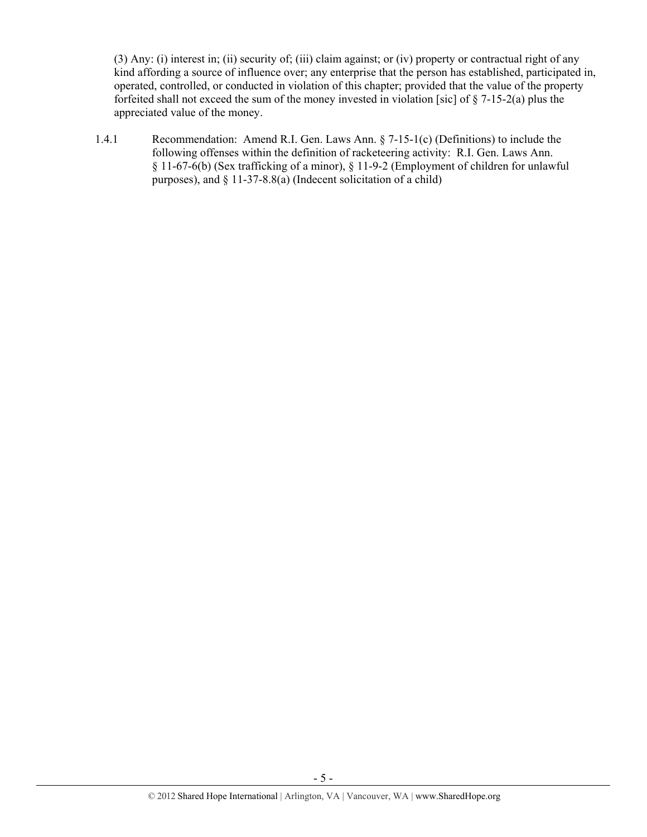(3) Any: (i) interest in; (ii) security of; (iii) claim against; or (iv) property or contractual right of any kind affording a source of influence over; any enterprise that the person has established, participated in, operated, controlled, or conducted in violation of this chapter; provided that the value of the property forfeited shall not exceed the sum of the money invested in violation [sic] of § 7-15-2(a) plus the appreciated value of the money.

1.4.1 Recommendation: Amend R.I. Gen. Laws Ann. § 7-15-1(c) (Definitions) to include the following offenses within the definition of racketeering activity: R.I. Gen. Laws Ann. § 11-67-6(b) (Sex trafficking of a minor), § 11-9-2 (Employment of children for unlawful purposes), and § 11-37-8.8(a) (Indecent solicitation of a child)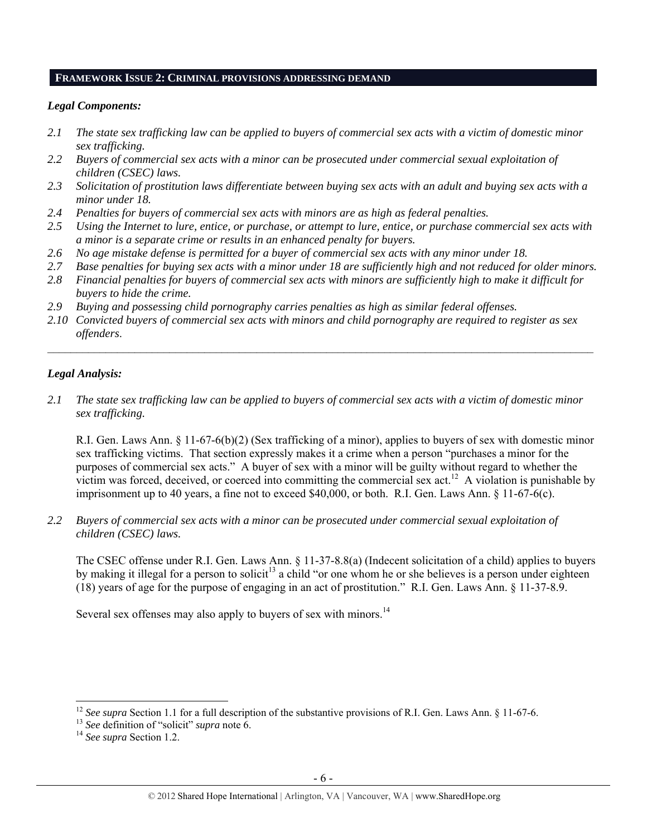#### **FRAMEWORK ISSUE 2: CRIMINAL PROVISIONS ADDRESSING DEMAND**

#### *Legal Components:*

- *2.1 The state sex trafficking law can be applied to buyers of commercial sex acts with a victim of domestic minor sex trafficking.*
- *2.2 Buyers of commercial sex acts with a minor can be prosecuted under commercial sexual exploitation of children (CSEC) laws.*
- *2.3 Solicitation of prostitution laws differentiate between buying sex acts with an adult and buying sex acts with a minor under 18.*
- *2.4 Penalties for buyers of commercial sex acts with minors are as high as federal penalties.*
- *2.5 Using the Internet to lure, entice, or purchase, or attempt to lure, entice, or purchase commercial sex acts with a minor is a separate crime or results in an enhanced penalty for buyers.*
- *2.6 No age mistake defense is permitted for a buyer of commercial sex acts with any minor under 18.*
- *2.7 Base penalties for buying sex acts with a minor under 18 are sufficiently high and not reduced for older minors.*
- *2.8 Financial penalties for buyers of commercial sex acts with minors are sufficiently high to make it difficult for buyers to hide the crime.*
- *2.9 Buying and possessing child pornography carries penalties as high as similar federal offenses.*
- *2.10 Convicted buyers of commercial sex acts with minors and child pornography are required to register as sex offenders*.

 $\_$ 

## *Legal Analysis:*

*2.1 The state sex trafficking law can be applied to buyers of commercial sex acts with a victim of domestic minor sex trafficking.*

R.I. Gen. Laws Ann. § 11-67-6(b)(2) (Sex trafficking of a minor), applies to buyers of sex with domestic minor sex trafficking victims. That section expressly makes it a crime when a person "purchases a minor for the purposes of commercial sex acts." A buyer of sex with a minor will be guilty without regard to whether the victim was forced, deceived, or coerced into committing the commercial sex  $act<sup>12</sup>$ . A violation is punishable by imprisonment up to 40 years, a fine not to exceed \$40,000, or both. R.I. Gen. Laws Ann. § 11-67-6(c).

*2.2 Buyers of commercial sex acts with a minor can be prosecuted under commercial sexual exploitation of children (CSEC) laws.* 

The CSEC offense under R.I. Gen. Laws Ann. § 11-37-8.8(a) (Indecent solicitation of a child) applies to buyers by making it illegal for a person to solicit<sup>13</sup> a child "or one whom he or she believes is a person under eighteen (18) years of age for the purpose of engaging in an act of prostitution." R.I. Gen. Laws Ann. § 11-37-8.9.

Several sex offenses may also apply to buyers of sex with minors.<sup>14</sup>

<sup>&</sup>lt;sup>12</sup> *See supra* Section 1.1 for a full description of the substantive provisions of R.I. Gen. Laws Ann. § 11-67-6.<br><sup>13</sup> *See* definition of "solicit" *supra* note 6.<br><sup>14</sup> *See supra* Section 1.2.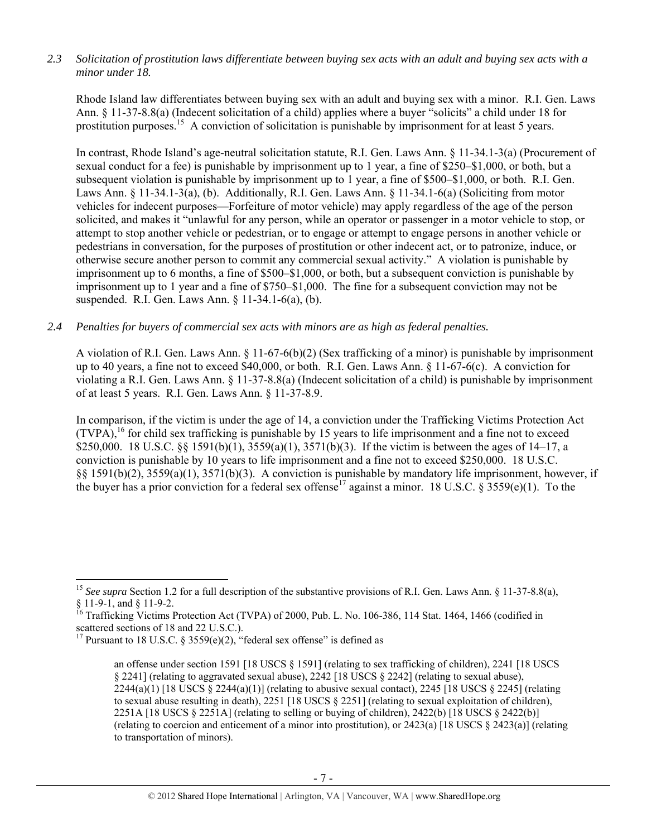# *2.3 Solicitation of prostitution laws differentiate between buying sex acts with an adult and buying sex acts with a minor under 18.*

Rhode Island law differentiates between buying sex with an adult and buying sex with a minor. R.I. Gen. Laws Ann. § 11-37-8.8(a) (Indecent solicitation of a child) applies where a buyer "solicits" a child under 18 for prostitution purposes.15 A conviction of solicitation is punishable by imprisonment for at least 5 years.

In contrast, Rhode Island's age-neutral solicitation statute, R.I. Gen. Laws Ann. § 11-34.1-3(a) (Procurement of sexual conduct for a fee) is punishable by imprisonment up to 1 year, a fine of \$250–\$1,000, or both, but a subsequent violation is punishable by imprisonment up to 1 year, a fine of \$500–\$1,000, or both. R.I. Gen. Laws Ann. § 11-34.1-3(a), (b). Additionally, R.I. Gen. Laws Ann. § 11-34.1-6(a) (Soliciting from motor vehicles for indecent purposes—Forfeiture of motor vehicle) may apply regardless of the age of the person solicited, and makes it "unlawful for any person, while an operator or passenger in a motor vehicle to stop, or attempt to stop another vehicle or pedestrian, or to engage or attempt to engage persons in another vehicle or pedestrians in conversation, for the purposes of prostitution or other indecent act, or to patronize, induce, or otherwise secure another person to commit any commercial sexual activity." A violation is punishable by imprisonment up to 6 months, a fine of \$500–\$1,000, or both, but a subsequent conviction is punishable by imprisonment up to 1 year and a fine of \$750–\$1,000. The fine for a subsequent conviction may not be suspended. R.I. Gen. Laws Ann. § 11-34.1-6(a), (b).

# *2.4 Penalties for buyers of commercial sex acts with minors are as high as federal penalties.*

A violation of R.I. Gen. Laws Ann. § 11-67-6(b)(2) (Sex trafficking of a minor) is punishable by imprisonment up to 40 years, a fine not to exceed \$40,000, or both. R.I. Gen. Laws Ann. § 11-67-6(c). A conviction for violating a R.I. Gen. Laws Ann. § 11-37-8.8(a) (Indecent solicitation of a child) is punishable by imprisonment of at least 5 years. R.I. Gen. Laws Ann. § 11-37-8.9.

In comparison, if the victim is under the age of 14, a conviction under the Trafficking Victims Protection Act  $(TVPA)$ ,<sup>16</sup> for child sex trafficking is punishable by 15 years to life imprisonment and a fine not to exceed \$250,000. 18 U.S.C. §§ 1591(b)(1), 3559(a)(1), 3571(b)(3). If the victim is between the ages of 14–17, a conviction is punishable by 10 years to life imprisonment and a fine not to exceed \$250,000. 18 U.S.C. §§ 1591(b)(2), 3559(a)(1), 3571(b)(3). A conviction is punishable by mandatory life imprisonment, however, if the buyer has a prior conviction for a federal sex offense<sup>17</sup> against a minor. 18 U.S.C. § 3559(e)(1). To the

<sup>&</sup>lt;sup>15</sup> *See supra* Section 1.2 for a full description of the substantive provisions of R.I. Gen. Laws Ann. § 11-37-8.8(a), § 11-9-1, and § 11-9-2.

<sup>&</sup>lt;sup>16</sup> Trafficking Victims Protection Act (TVPA) of 2000, Pub. L. No. 106-386, 114 Stat. 1464, 1466 (codified in scattered sections of 18 and 22 U.S.C.).

<sup>&</sup>lt;sup>17</sup> Pursuant to 18 U.S.C. § 3559(e)(2), "federal sex offense" is defined as

an offense under section 1591 [18 USCS § 1591] (relating to sex trafficking of children), 2241 [18 USCS § 2241] (relating to aggravated sexual abuse), 2242 [18 USCS § 2242] (relating to sexual abuse),  $2244(a)(1)$  [18 USCS  $\S 2244(a)(1)$ ] (relating to abusive sexual contact), 2245 [18 USCS  $\S 2245$ ] (relating to sexual abuse resulting in death), 2251 [18 USCS § 2251] (relating to sexual exploitation of children), 2251A [18 USCS § 2251A] (relating to selling or buying of children), 2422(b) [18 USCS § 2422(b)] (relating to coercion and enticement of a minor into prostitution), or 2423(a) [18 USCS  $\S$  2423(a)] (relating to transportation of minors).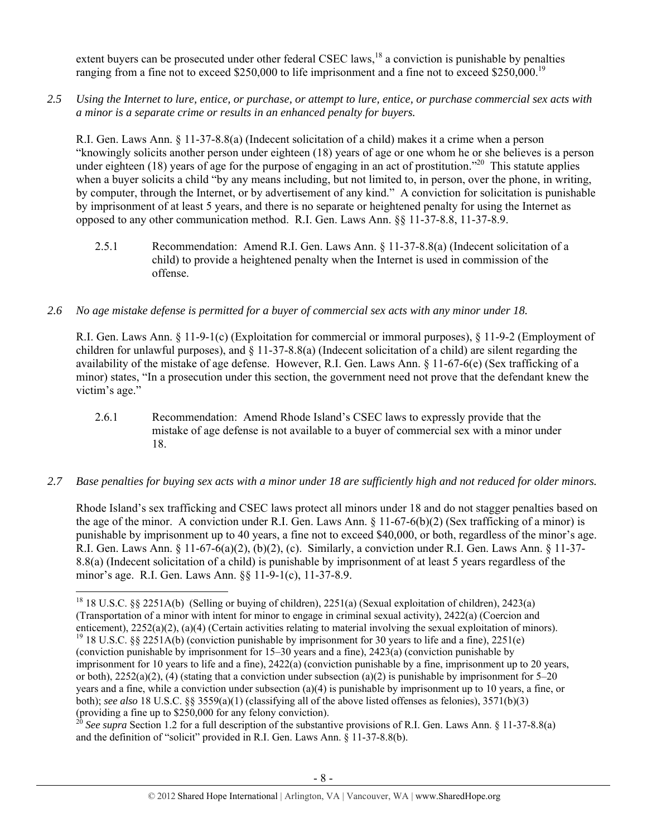extent buyers can be prosecuted under other federal CSEC laws,  $^{18}$  a conviction is punishable by penalties ranging from a fine not to exceed \$250,000 to life imprisonment and a fine not to exceed \$250,000.<sup>19</sup>

*2.5 Using the Internet to lure, entice, or purchase, or attempt to lure, entice, or purchase commercial sex acts with a minor is a separate crime or results in an enhanced penalty for buyers.* 

R.I. Gen. Laws Ann. § 11-37-8.8(a) (Indecent solicitation of a child) makes it a crime when a person "knowingly solicits another person under eighteen (18) years of age or one whom he or she believes is a person under eighteen (18) years of age for the purpose of engaging in an act of prostitution.<sup> $20$ </sup> This statute applies when a buyer solicits a child "by any means including, but not limited to, in person, over the phone, in writing, by computer, through the Internet, or by advertisement of any kind." A conviction for solicitation is punishable by imprisonment of at least 5 years, and there is no separate or heightened penalty for using the Internet as opposed to any other communication method. R.I. Gen. Laws Ann. §§ 11-37-8.8, 11-37-8.9.

2.5.1 Recommendation: Amend R.I. Gen. Laws Ann. § 11-37-8.8(a) (Indecent solicitation of a child) to provide a heightened penalty when the Internet is used in commission of the offense.

# *2.6 No age mistake defense is permitted for a buyer of commercial sex acts with any minor under 18.*

R.I. Gen. Laws Ann. § 11-9-1(c) (Exploitation for commercial or immoral purposes), § 11-9-2 (Employment of children for unlawful purposes), and  $\S$  11-37-8.8(a) (Indecent solicitation of a child) are silent regarding the availability of the mistake of age defense. However, R.I. Gen. Laws Ann. § 11-67-6(e) (Sex trafficking of a minor) states, "In a prosecution under this section, the government need not prove that the defendant knew the victim's age."

- 2.6.1 Recommendation: Amend Rhode Island's CSEC laws to expressly provide that the mistake of age defense is not available to a buyer of commercial sex with a minor under 18.
- *2.7 Base penalties for buying sex acts with a minor under 18 are sufficiently high and not reduced for older minors.*

Rhode Island's sex trafficking and CSEC laws protect all minors under 18 and do not stagger penalties based on the age of the minor. A conviction under R.I. Gen. Laws Ann.  $\S$  11-67-6(b)(2) (Sex trafficking of a minor) is punishable by imprisonment up to 40 years, a fine not to exceed \$40,000, or both, regardless of the minor's age. R.I. Gen. Laws Ann. § 11-67-6(a)(2), (b)(2), (c). Similarly, a conviction under R.I. Gen. Laws Ann. § 11-37- 8.8(a) (Indecent solicitation of a child) is punishable by imprisonment of at least 5 years regardless of the minor's age. R.I. Gen. Laws Ann. §§ 11-9-1(c), 11-37-8.9.

<sup>18 18</sup> U.S.C. §§ 2251A(b) (Selling or buying of children), 2251(a) (Sexual exploitation of children), 2423(a) (Transportation of a minor with intent for minor to engage in criminal sexual activity), 2422(a) (Coercion and enticement),  $2252(a)(2)$ ,  $(a)(4)$  (Certain activities relating to material involving the sexual exploitation of minors). <sup>19</sup> 18 U.S.C. §§ 2251A(b) (conviction punishable by imprisonment for 30 years to life and a fine), 22 (conviction punishable by imprisonment for 15–30 years and a fine), 2423(a) (conviction punishable by imprisonment for 10 years to life and a fine), 2422(a) (conviction punishable by a fine, imprisonment up to 20 years, or both),  $2252(a)(2)$ , (4) (stating that a conviction under subsection (a)(2) is punishable by imprisonment for 5–20 years and a fine, while a conviction under subsection (a)(4) is punishable by imprisonment up to 10 years, a fine, or both); *see also* 18 U.S.C. §§ 3559(a)(1) (classifying all of the above listed offenses as felonies), 3571(b)(3) (providing a fine up to \$250,000 for any felony conviction).

<sup>20</sup> *See supra* Section 1.2 for a full description of the substantive provisions of R.I. Gen. Laws Ann. § 11-37-8.8(a) and the definition of "solicit" provided in R.I. Gen. Laws Ann. § 11-37-8.8(b).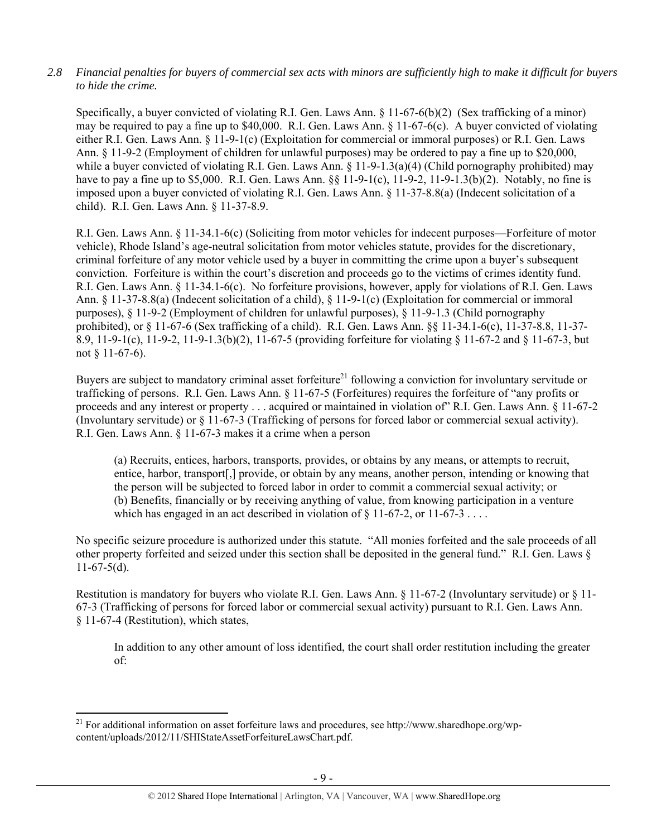# *2.8 Financial penalties for buyers of commercial sex acts with minors are sufficiently high to make it difficult for buyers to hide the crime.*

Specifically, a buyer convicted of violating R.I. Gen. Laws Ann. § 11-67-6(b)(2) (Sex trafficking of a minor) may be required to pay a fine up to \$40,000. R.I. Gen. Laws Ann. § 11-67-6(c). A buyer convicted of violating either R.I. Gen. Laws Ann. § 11-9-1(c) (Exploitation for commercial or immoral purposes) or R.I. Gen. Laws Ann. § 11-9-2 (Employment of children for unlawful purposes) may be ordered to pay a fine up to \$20,000, while a buyer convicted of violating R.I. Gen. Laws Ann. § 11-9-1.3(a)(4) (Child pornography prohibited) may have to pay a fine up to \$5,000. R.I. Gen. Laws Ann. §§ 11-9-1(c), 11-9-2, 11-9-1.3(b)(2). Notably, no fine is imposed upon a buyer convicted of violating R.I. Gen. Laws Ann. § 11-37-8.8(a) (Indecent solicitation of a child). R.I. Gen. Laws Ann. § 11-37-8.9.

R.I. Gen. Laws Ann. § 11-34.1-6(c) (Soliciting from motor vehicles for indecent purposes—Forfeiture of motor vehicle), Rhode Island's age-neutral solicitation from motor vehicles statute, provides for the discretionary, criminal forfeiture of any motor vehicle used by a buyer in committing the crime upon a buyer's subsequent conviction. Forfeiture is within the court's discretion and proceeds go to the victims of crimes identity fund. R.I. Gen. Laws Ann. § 11-34.1-6(c). No forfeiture provisions, however, apply for violations of R.I. Gen. Laws Ann. § 11-37-8.8(a) (Indecent solicitation of a child), § 11-9-1(c) (Exploitation for commercial or immoral purposes), § 11-9-2 (Employment of children for unlawful purposes), § 11-9-1.3 (Child pornography prohibited), or § 11-67-6 (Sex trafficking of a child). R.I. Gen. Laws Ann. §§ 11-34.1-6(c), 11-37-8.8, 11-37- 8.9, 11-9-1(c), 11-9-2, 11-9-1.3(b)(2), 11-67-5 (providing forfeiture for violating § 11-67-2 and § 11-67-3, but not § 11-67-6).

Buyers are subject to mandatory criminal asset forfeiture<sup>21</sup> following a conviction for involuntary servitude or trafficking of persons. R.I. Gen. Laws Ann. § 11-67-5 (Forfeitures) requires the forfeiture of "any profits or proceeds and any interest or property . . . acquired or maintained in violation of" R.I. Gen. Laws Ann. § 11-67-2 (Involuntary servitude) or § 11-67-3 (Trafficking of persons for forced labor or commercial sexual activity). R.I. Gen. Laws Ann. § 11-67-3 makes it a crime when a person

(a) Recruits, entices, harbors, transports, provides, or obtains by any means, or attempts to recruit, entice, harbor, transport[,] provide, or obtain by any means, another person, intending or knowing that the person will be subjected to forced labor in order to commit a commercial sexual activity; or (b) Benefits, financially or by receiving anything of value, from knowing participation in a venture which has engaged in an act described in violation of  $\frac{8}{11-67-2}$ , or 11-67-3...

No specific seizure procedure is authorized under this statute. "All monies forfeited and the sale proceeds of all other property forfeited and seized under this section shall be deposited in the general fund." R.I. Gen. Laws §  $11-67-5(d)$ .

Restitution is mandatory for buyers who violate R.I. Gen. Laws Ann. § 11-67-2 (Involuntary servitude) or § 11- 67-3 (Trafficking of persons for forced labor or commercial sexual activity) pursuant to R.I. Gen. Laws Ann. § 11-67-4 (Restitution), which states,

In addition to any other amount of loss identified, the court shall order restitution including the greater of:

 <sup>21</sup> For additional information on asset forfeiture laws and procedures, see http://www.sharedhope.org/wpcontent/uploads/2012/11/SHIStateAssetForfeitureLawsChart.pdf.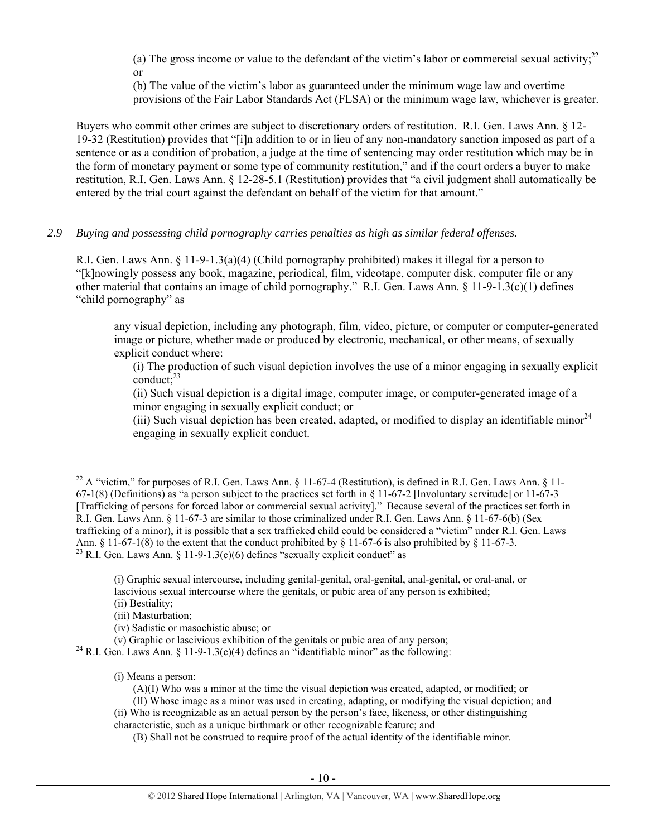(a) The gross income or value to the defendant of the victim's labor or commercial sexual activity;<sup>22</sup> or

(b) The value of the victim's labor as guaranteed under the minimum wage law and overtime provisions of the Fair Labor Standards Act (FLSA) or the minimum wage law, whichever is greater.

Buyers who commit other crimes are subject to discretionary orders of restitution. R.I. Gen. Laws Ann. § 12- 19-32 (Restitution) provides that "[i]n addition to or in lieu of any non-mandatory sanction imposed as part of a sentence or as a condition of probation, a judge at the time of sentencing may order restitution which may be in the form of monetary payment or some type of community restitution," and if the court orders a buyer to make restitution, R.I. Gen. Laws Ann. § 12-28-5.1 (Restitution) provides that "a civil judgment shall automatically be entered by the trial court against the defendant on behalf of the victim for that amount."

# *2.9 Buying and possessing child pornography carries penalties as high as similar federal offenses.*

R.I. Gen. Laws Ann. § 11-9-1.3(a)(4) (Child pornography prohibited) makes it illegal for a person to "[k]nowingly possess any book, magazine, periodical, film, videotape, computer disk, computer file or any other material that contains an image of child pornography." R.I. Gen. Laws Ann. § 11-9-1.3(c)(1) defines "child pornography" as

any visual depiction, including any photograph, film, video, picture, or computer or computer-generated image or picture, whether made or produced by electronic, mechanical, or other means, of sexually explicit conduct where:

(i) The production of such visual depiction involves the use of a minor engaging in sexually explicit  $\text{conduct:}^{23}$ 

(ii) Such visual depiction is a digital image, computer image, or computer-generated image of a minor engaging in sexually explicit conduct; or

(iii) Such visual depiction has been created, adapted, or modified to display an identifiable minor  $24$ engaging in sexually explicit conduct.

(i) Means a person:

<sup>&</sup>lt;sup>22</sup> A "victim," for purposes of R.I. Gen. Laws Ann. § 11-67-4 (Restitution), is defined in R.I. Gen. Laws Ann. § 11-67-1(8) (Definitions) as "a person subject to the practices set forth in § 11-67-2 [Involuntary servitude] or 11-67-3 [Trafficking of persons for forced labor or commercial sexual activity]." Because several of the practices set forth in R.I. Gen. Laws Ann. § 11-67-3 are similar to those criminalized under R.I. Gen. Laws Ann. § 11-67-6(b) (Sex trafficking of a minor), it is possible that a sex trafficked child could be considered a "victim" under R.I. Gen. Laws Ann. § 11-67-1(8) to the extent that the conduct prohibited by § 11-67-6 is also prohibited by § 11-67-3. <sup>23</sup> R.I. Gen. Laws Ann. § 11-9-1.3(c)(6) defines "sexually explicit conduct" as

<sup>(</sup>i) Graphic sexual intercourse, including genital-genital, oral-genital, anal-genital, or oral-anal, or lascivious sexual intercourse where the genitals, or pubic area of any person is exhibited;

<sup>(</sup>ii) Bestiality; (iii) Masturbation;

<sup>(</sup>iv) Sadistic or masochistic abuse; or

<sup>&</sup>lt;sup>24</sup> R.I. Gen. Laws Ann. § 11-9-1.3(c)(4) defines an "identifiable minor" as the following:

<sup>(</sup>A)(I) Who was a minor at the time the visual depiction was created, adapted, or modified; or

<sup>(</sup>II) Whose image as a minor was used in creating, adapting, or modifying the visual depiction; and (ii) Who is recognizable as an actual person by the person's face, likeness, or other distinguishing characteristic, such as a unique birthmark or other recognizable feature; and

<sup>(</sup>B) Shall not be construed to require proof of the actual identity of the identifiable minor.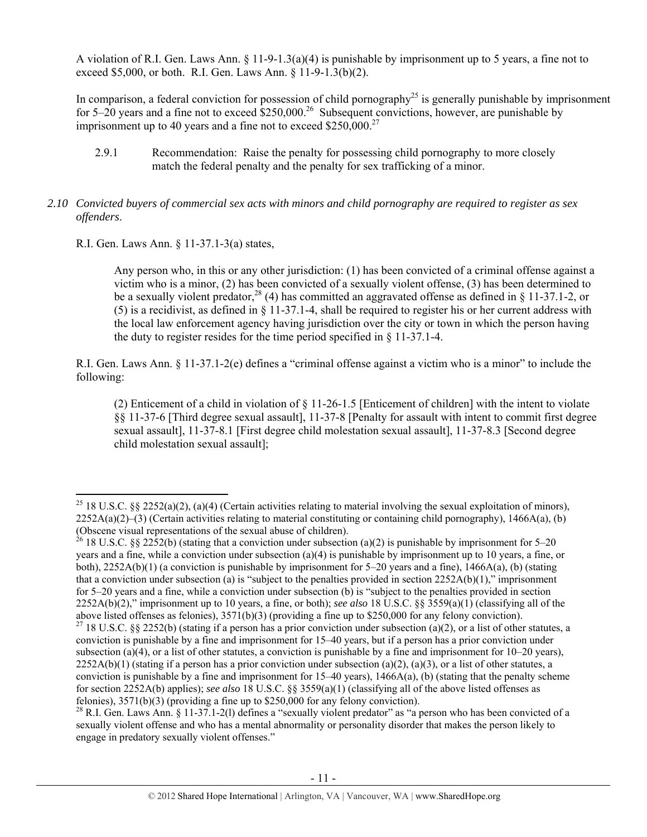A violation of R.I. Gen. Laws Ann. § 11-9-1.3(a)(4) is punishable by imprisonment up to 5 years, a fine not to exceed \$5,000, or both. R.I. Gen. Laws Ann. § 11-9-1.3(b)(2).

In comparison, a federal conviction for possession of child pornography<sup>25</sup> is generally punishable by imprisonment for 5–20 years and a fine not to exceed \$250,000.<sup>26</sup> Subsequent convictions, however, are punishable by imprisonment up to 40 years and a fine not to exceed  $$250,000.<sup>27</sup>$ 

2.9.1 Recommendation: Raise the penalty for possessing child pornography to more closely match the federal penalty and the penalty for sex trafficking of a minor.

## *2.10 Convicted buyers of commercial sex acts with minors and child pornography are required to register as sex offenders*.

R.I. Gen. Laws Ann. § 11-37.1-3(a) states,

Any person who, in this or any other jurisdiction: (1) has been convicted of a criminal offense against a victim who is a minor, (2) has been convicted of a sexually violent offense, (3) has been determined to be a sexually violent predator,<sup>28</sup> (4) has committed an aggravated offense as defined in § 11-37.1-2, or (5) is a recidivist, as defined in § 11-37.1-4, shall be required to register his or her current address with the local law enforcement agency having jurisdiction over the city or town in which the person having the duty to register resides for the time period specified in § 11-37.1-4.

R.I. Gen. Laws Ann. § 11-37.1-2(e) defines a "criminal offense against a victim who is a minor" to include the following:

(2) Enticement of a child in violation of § 11-26-1.5 [Enticement of children] with the intent to violate §§ 11-37-6 [Third degree sexual assault], 11-37-8 [Penalty for assault with intent to commit first degree sexual assault], 11-37-8.1 [First degree child molestation sexual assault], 11-37-8.3 [Second degree child molestation sexual assault];

<sup>&</sup>lt;sup>25</sup> 18 U.S.C. §§ 2252(a)(2), (a)(4) (Certain activities relating to material involving the sexual exploitation of minors),  $2252A(a)(2)$ –(3) (Certain activities relating to material constituting or containing child pornography), 1466A(a), (b) (Obscene visual representations of the sexual abuse of children).

<sup>&</sup>lt;sup>26</sup> 18 U.S.C. §§ 2252(b) (stating that a conviction under subsection (a)(2) is punishable by imprisonment for 5–20 years and a fine, while a conviction under subsection (a)(4) is punishable by imprisonment up to 10 years, a fine, or both),  $2252A(b)(1)$  (a conviction is punishable by imprisonment for 5–20 years and a fine),  $1466A(a)$ , (b) (stating that a conviction under subsection (a) is "subject to the penalties provided in section  $2252A(b)(1)$ ," imprisonment for 5–20 years and a fine, while a conviction under subsection (b) is "subject to the penalties provided in section 2252A(b)(2)," imprisonment up to 10 years, a fine, or both); *see also* 18 U.S.C. §§ 3559(a)(1) (classifying all of the above listed offenses as felonies), 3571(b)(3) (providing a fine up to \$250,000 for any felony conviction).

<sup>&</sup>lt;sup>27</sup> 18 U.S.C. §§ 2252(b) (stating if a person has a prior conviction under subsection (a)(2), or a list of other statutes, a conviction is punishable by a fine and imprisonment for 15–40 years, but if a person has a prior conviction under subsection (a)(4), or a list of other statutes, a conviction is punishable by a fine and imprisonment for  $10-20$  years),  $2252A(b)(1)$  (stating if a person has a prior conviction under subsection (a)(2), (a)(3), or a list of other statutes, a conviction is punishable by a fine and imprisonment for  $15-40$  years),  $1466A(a)$ , (b) (stating that the penalty scheme for section 2252A(b) applies); *see also* 18 U.S.C. §§ 3559(a)(1) (classifying all of the above listed offenses as felonies), 3571(b)(3) (providing a fine up to \$250,000 for any felony conviction).

 $^{28}$  R.I. Gen. Laws Ann. § 11-37.1-2(1) defines a "sexually violent predator" as "a person who has been convicted of a sexually violent offense and who has a mental abnormality or personality disorder that makes the person likely to engage in predatory sexually violent offenses."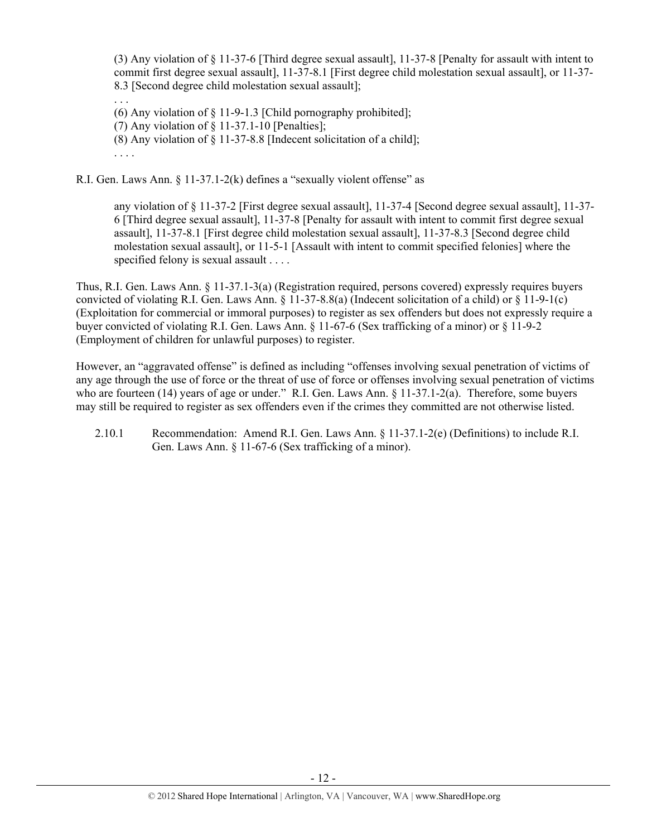(3) Any violation of § 11-37-6 [Third degree sexual assault], 11-37-8 [Penalty for assault with intent to commit first degree sexual assault], 11-37-8.1 [First degree child molestation sexual assault], or 11-37- 8.3 [Second degree child molestation sexual assault];

. . . (6) Any violation of § 11-9-1.3 [Child pornography prohibited]; (7) Any violation of  $\S$  11-37.1-10 [Penalties]; (8) Any violation of § 11-37-8.8 [Indecent solicitation of a child]; . . . .

R.I. Gen. Laws Ann. § 11-37.1-2(k) defines a "sexually violent offense" as

any violation of § 11-37-2 [First degree sexual assault], 11-37-4 [Second degree sexual assault], 11-37- 6 [Third degree sexual assault], 11-37-8 [Penalty for assault with intent to commit first degree sexual assault], 11-37-8.1 [First degree child molestation sexual assault], 11-37-8.3 [Second degree child molestation sexual assault], or 11-5-1 [Assault with intent to commit specified felonies] where the specified felony is sexual assault . . . .

Thus, R.I. Gen. Laws Ann. § 11-37.1-3(a) (Registration required, persons covered) expressly requires buyers convicted of violating R.I. Gen. Laws Ann. § 11-37-8.8(a) (Indecent solicitation of a child) or § 11-9-1(c) (Exploitation for commercial or immoral purposes) to register as sex offenders but does not expressly require a buyer convicted of violating R.I. Gen. Laws Ann. § 11-67-6 (Sex trafficking of a minor) or § 11-9-2 (Employment of children for unlawful purposes) to register.

However, an "aggravated offense" is defined as including "offenses involving sexual penetration of victims of any age through the use of force or the threat of use of force or offenses involving sexual penetration of victims who are fourteen (14) years of age or under." R.I. Gen. Laws Ann. § 11-37.1-2(a). Therefore, some buyers may still be required to register as sex offenders even if the crimes they committed are not otherwise listed.

2.10.1 Recommendation: Amend R.I. Gen. Laws Ann. § 11-37.1-2(e) (Definitions) to include R.I. Gen. Laws Ann. § 11-67-6 (Sex trafficking of a minor).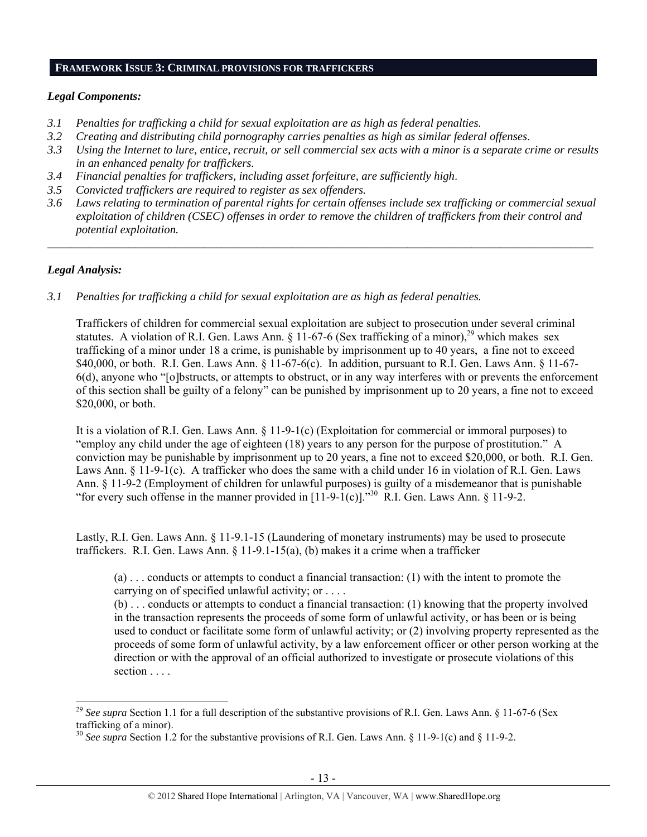#### **FRAMEWORK ISSUE 3: CRIMINAL PROVISIONS FOR TRAFFICKERS**

# *Legal Components:*

- *3.1 Penalties for trafficking a child for sexual exploitation are as high as federal penalties.*
- *3.2 Creating and distributing child pornography carries penalties as high as similar federal offenses*.
- *3.3 Using the Internet to lure, entice, recruit, or sell commercial sex acts with a minor is a separate crime or results in an enhanced penalty for traffickers.*
- *3.4 Financial penalties for traffickers, including asset forfeiture, are sufficiently high*.
- *3.5 Convicted traffickers are required to register as sex offenders.*
- *3.6 Laws relating to termination of parental rights for certain offenses include sex trafficking or commercial sexual exploitation of children (CSEC) offenses in order to remove the children of traffickers from their control and potential exploitation.*

*\_\_\_\_\_\_\_\_\_\_\_\_\_\_\_\_\_\_\_\_\_\_\_\_\_\_\_\_\_\_\_\_\_\_\_\_\_\_\_\_\_\_\_\_\_\_\_\_\_\_\_\_\_\_\_\_\_\_\_\_\_\_\_\_\_\_\_\_\_\_\_\_\_\_\_\_\_\_\_\_\_\_\_\_\_\_\_\_\_\_\_\_\_\_* 

# *Legal Analysis:*

*3.1 Penalties for trafficking a child for sexual exploitation are as high as federal penalties.* 

Traffickers of children for commercial sexual exploitation are subject to prosecution under several criminal statutes. A violation of R.I. Gen. Laws Ann. § 11-67-6 (Sex trafficking of a minor),<sup>29</sup> which makes sex trafficking of a minor under 18 a crime, is punishable by imprisonment up to 40 years, a fine not to exceed \$40,000, or both. R.I. Gen. Laws Ann. § 11-67-6(c). In addition, pursuant to R.I. Gen. Laws Ann. § 11-67- 6(d), anyone who "[o]bstructs, or attempts to obstruct, or in any way interferes with or prevents the enforcement of this section shall be guilty of a felony" can be punished by imprisonment up to 20 years, a fine not to exceed \$20,000, or both.

It is a violation of R.I. Gen. Laws Ann. § 11-9-1(c) (Exploitation for commercial or immoral purposes) to "employ any child under the age of eighteen (18) years to any person for the purpose of prostitution." A conviction may be punishable by imprisonment up to 20 years, a fine not to exceed \$20,000, or both. R.I. Gen. Laws Ann. § 11-9-1(c). A trafficker who does the same with a child under 16 in violation of R.I. Gen. Laws Ann. § 11-9-2 (Employment of children for unlawful purposes) is guilty of a misdemeanor that is punishable "for every such offense in the manner provided in  $[11-9-1(c)]^{330}$ . R.I. Gen. Laws Ann. § 11-9-2.

Lastly, R.I. Gen. Laws Ann. § 11-9.1-15 (Laundering of monetary instruments) may be used to prosecute traffickers. R.I. Gen. Laws Ann.  $\S$  11-9.1-15(a), (b) makes it a crime when a trafficker

(a) . . . conducts or attempts to conduct a financial transaction: (1) with the intent to promote the carrying on of specified unlawful activity; or . . . .

(b) . . . conducts or attempts to conduct a financial transaction: (1) knowing that the property involved in the transaction represents the proceeds of some form of unlawful activity, or has been or is being used to conduct or facilitate some form of unlawful activity; or (2) involving property represented as the proceeds of some form of unlawful activity, by a law enforcement officer or other person working at the direction or with the approval of an official authorized to investigate or prosecute violations of this section . . . .

<sup>&</sup>lt;sup>29</sup> See supra Section 1.1 for a full description of the substantive provisions of R.I. Gen. Laws Ann. § 11-67-6 (Sex trafficking of a minor).

<sup>&</sup>lt;sup>30</sup> See supra Section 1.2 for the substantive provisions of R.I. Gen. Laws Ann. § 11-9-1(c) and § 11-9-2.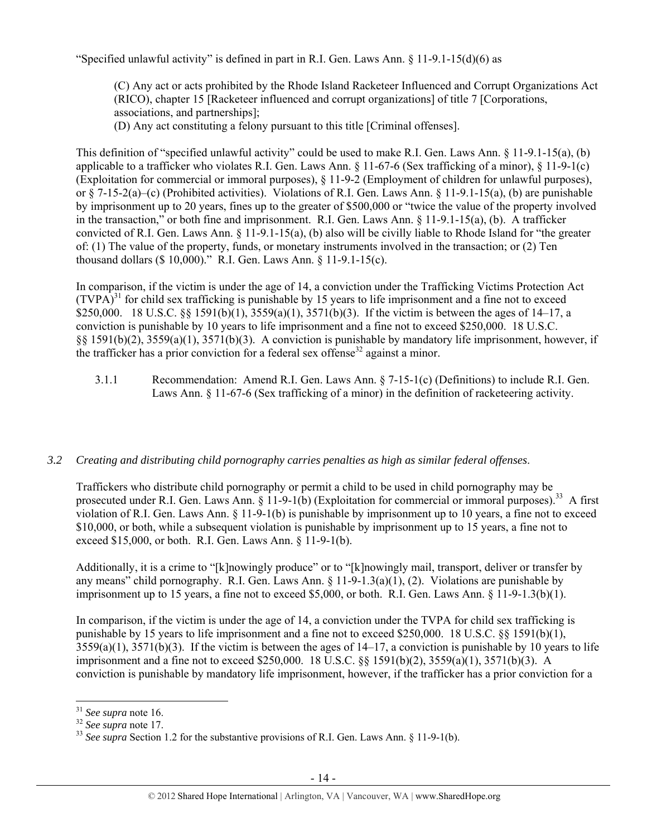"Specified unlawful activity" is defined in part in R.I. Gen. Laws Ann. § 11-9.1-15(d)(6) as

(C) Any act or acts prohibited by the Rhode Island Racketeer Influenced and Corrupt Organizations Act (RICO), chapter 15 [Racketeer influenced and corrupt organizations] of title 7 [Corporations, associations, and partnerships];

(D) Any act constituting a felony pursuant to this title [Criminal offenses].

This definition of "specified unlawful activity" could be used to make R.I. Gen. Laws Ann. § 11-9.1-15(a), (b) applicable to a trafficker who violates R.I. Gen. Laws Ann. § 11-67-6 (Sex trafficking of a minor), § 11-9-1(c) (Exploitation for commercial or immoral purposes), § 11-9-2 (Employment of children for unlawful purposes), or § 7-15-2(a)–(c) (Prohibited activities). Violations of R.I. Gen. Laws Ann. § 11-9.1-15(a), (b) are punishable by imprisonment up to 20 years, fines up to the greater of \$500,000 or "twice the value of the property involved in the transaction," or both fine and imprisonment. R.I. Gen. Laws Ann. § 11-9.1-15(a), (b). A trafficker convicted of R.I. Gen. Laws Ann. § 11-9.1-15(a), (b) also will be civilly liable to Rhode Island for "the greater of: (1) The value of the property, funds, or monetary instruments involved in the transaction; or (2) Ten thousand dollars (\$ 10,000)." R.I. Gen. Laws Ann. § 11-9.1-15(c).

In comparison, if the victim is under the age of 14, a conviction under the Trafficking Victims Protection Act  $(TVPA)^{31}$  for child sex trafficking is punishable by 15 years to life imprisonment and a fine not to exceed \$250,000. 18 U.S.C. §§ 1591(b)(1), 3559(a)(1), 3571(b)(3). If the victim is between the ages of 14–17, a conviction is punishable by 10 years to life imprisonment and a fine not to exceed \$250,000. 18 U.S.C. §§ 1591(b)(2), 3559(a)(1), 3571(b)(3). A conviction is punishable by mandatory life imprisonment, however, if the trafficker has a prior conviction for a federal sex offense<sup>32</sup> against a minor.

3.1.1 Recommendation: Amend R.I. Gen. Laws Ann. § 7-15-1(c) (Definitions) to include R.I. Gen. Laws Ann. § 11-67-6 (Sex trafficking of a minor) in the definition of racketeering activity.

## *3.2 Creating and distributing child pornography carries penalties as high as similar federal offenses*.

Traffickers who distribute child pornography or permit a child to be used in child pornography may be prosecuted under R.I. Gen. Laws Ann. § 11-9-1(b) (Exploitation for commercial or immoral purposes).<sup>33</sup> A first violation of R.I. Gen. Laws Ann. § 11-9-1(b) is punishable by imprisonment up to 10 years, a fine not to exceed \$10,000, or both, while a subsequent violation is punishable by imprisonment up to 15 years, a fine not to exceed \$15,000, or both. R.I. Gen. Laws Ann. § 11-9-1(b).

Additionally, it is a crime to "[k]nowingly produce" or to "[k]nowingly mail, transport, deliver or transfer by any means" child pornography. R.I. Gen. Laws Ann. § 11-9-1.3(a)(1), (2). Violations are punishable by imprisonment up to 15 years, a fine not to exceed \$5,000, or both. R.I. Gen. Laws Ann. § 11-9-1.3(b)(1).

In comparison, if the victim is under the age of 14, a conviction under the TVPA for child sex trafficking is punishable by 15 years to life imprisonment and a fine not to exceed \$250,000. 18 U.S.C. §§ 1591(b)(1),  $3559(a)(1)$ ,  $3571(b)(3)$ . If the victim is between the ages of  $14-17$ , a conviction is punishable by 10 years to life imprisonment and a fine not to exceed \$250,000. 18 U.S.C. §§ 1591(b)(2), 3559(a)(1), 3571(b)(3). A conviction is punishable by mandatory life imprisonment, however, if the trafficker has a prior conviction for a

<sup>&</sup>lt;sup>31</sup> *See supra* note 16.<br><sup>32</sup> *See supra* note 17.<br><sup>33</sup> *See supra* Section 1.2 for the substantive provisions of R.I. Gen. Laws Ann. § 11-9-1(b).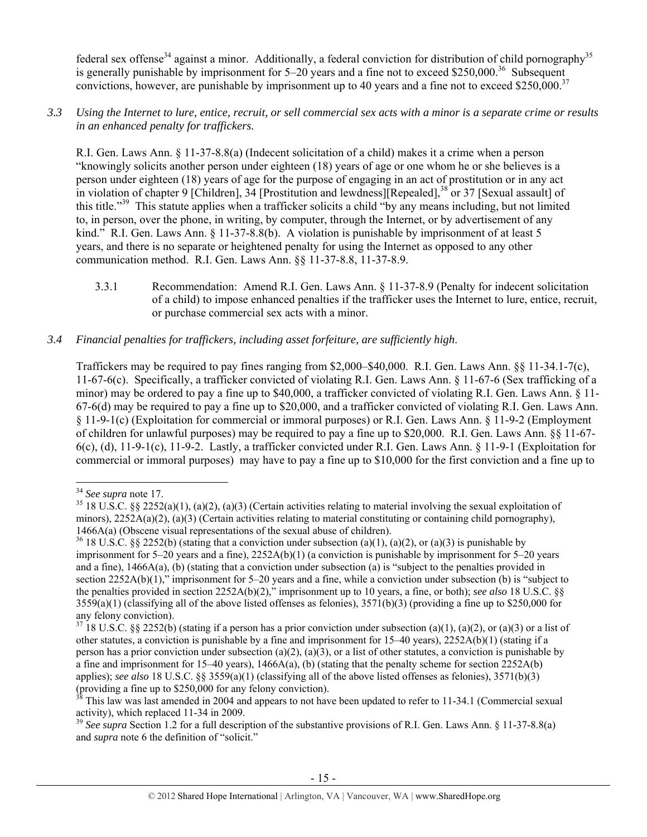federal sex offense<sup>34</sup> against a minor. Additionally, a federal conviction for distribution of child pornography<sup>35</sup> is generally punishable by imprisonment for  $5-20$  years and a fine not to exceed \$250,000.<sup>36</sup> Subsequent convictions, however, are punishable by imprisonment up to 40 years and a fine not to exceed \$250,000.<sup>37</sup>

*3.3 Using the Internet to lure, entice, recruit, or sell commercial sex acts with a minor is a separate crime or results in an enhanced penalty for traffickers.* 

R.I. Gen. Laws Ann. § 11-37-8.8(a) (Indecent solicitation of a child) makes it a crime when a person "knowingly solicits another person under eighteen (18) years of age or one whom he or she believes is a person under eighteen (18) years of age for the purpose of engaging in an act of prostitution or in any act in violation of chapter 9 [Children], 34 [Prostitution and lewdness][Repealed],<sup>38</sup> or 37 [Sexual assault] of this title."39 This statute applies when a trafficker solicits a child "by any means including, but not limited to, in person, over the phone, in writing, by computer, through the Internet, or by advertisement of any kind." R.I. Gen. Laws Ann. § 11-37-8.8(b). A violation is punishable by imprisonment of at least 5 years, and there is no separate or heightened penalty for using the Internet as opposed to any other communication method. R.I. Gen. Laws Ann. §§ 11-37-8.8, 11-37-8.9.

3.3.1 Recommendation: Amend R.I. Gen. Laws Ann. § 11-37-8.9 (Penalty for indecent solicitation of a child) to impose enhanced penalties if the trafficker uses the Internet to lure, entice, recruit, or purchase commercial sex acts with a minor.

# *3.4 Financial penalties for traffickers, including asset forfeiture, are sufficiently high*.

Traffickers may be required to pay fines ranging from \$2,000–\$40,000. R.I. Gen. Laws Ann. §§ 11-34.1-7(c), 11-67-6(c). Specifically, a trafficker convicted of violating R.I. Gen. Laws Ann. § 11-67-6 (Sex trafficking of a minor) may be ordered to pay a fine up to \$40,000, a trafficker convicted of violating R.I. Gen. Laws Ann. § 11- 67-6(d) may be required to pay a fine up to \$20,000, and a trafficker convicted of violating R.I. Gen. Laws Ann. § 11-9-1(c) (Exploitation for commercial or immoral purposes) or R.I. Gen. Laws Ann. § 11-9-2 (Employment of children for unlawful purposes) may be required to pay a fine up to \$20,000. R.I. Gen. Laws Ann. §§ 11-67- 6(c), (d), 11-9-1(c), 11-9-2. Lastly, a trafficker convicted under R.I. Gen. Laws Ann. § 11-9-1 (Exploitation for commercial or immoral purposes) may have to pay a fine up to \$10,000 for the first conviction and a fine up to

<sup>&</sup>lt;sup>34</sup> *See supra* note 17.<br><sup>35</sup> 18 U.S.C. §§ 2252(a)(1), (a)(2), (a)(3) (Certain activities relating to material involving the sexual exploitation of minors),  $2252A(a)(2)$ ,  $(a)(3)$  (Certain activities relating to material constituting or containing child pornography), 1466A(a) (Obscene visual representations of the sexual abuse of children).<br><sup>36</sup> 18 U.S.C. §§ 2252(b) (stating that a conviction under subsection (a)(1), (a)(2), or (a)(3) is punishable by

imprisonment for 5–20 years and a fine), 2252A(b)(1) (a conviction is punishable by imprisonment for 5–20 years and a fine), 1466A(a), (b) (stating that a conviction under subsection (a) is "subject to the penalties provided in section 2252A(b)(1)," imprisonment for 5–20 years and a fine, while a conviction under subsection (b) is "subject to the penalties provided in section 2252A(b)(2)," imprisonment up to 10 years, a fine, or both); *see also* 18 U.S.C. §§  $3559(a)(1)$  (classifying all of the above listed offenses as felonies),  $3571(b)(3)$  (providing a fine up to \$250,000 for any felony conviction).

 $37$  18 U.S.C. §§ 2252(b) (stating if a person has a prior conviction under subsection (a)(1), (a)(2), or (a)(3) or a list of other statutes, a conviction is punishable by a fine and imprisonment for 15–40 years), 2252A(b)(1) (stating if a person has a prior conviction under subsection (a)(2), (a)(3), or a list of other statutes, a conviction is punishable by a fine and imprisonment for 15–40 years),  $1466A(a)$ , (b) (stating that the penalty scheme for section 2252A(b) applies); *see also* 18 U.S.C. §§ 3559(a)(1) (classifying all of the above listed offenses as felonies), 3571(b)(3) (providing a fine up to \$250,000 for any felony conviction).

 $38$  This law was last amended in 2004 and appears to not have been updated to refer to 11-34.1 (Commercial sexual activity), which replaced 11-34 in 2009.

<sup>&</sup>lt;sup>39</sup> See supra Section 1.2 for a full description of the substantive provisions of R.I. Gen. Laws Ann. § 11-37-8.8(a) and *supra* note 6 the definition of "solicit."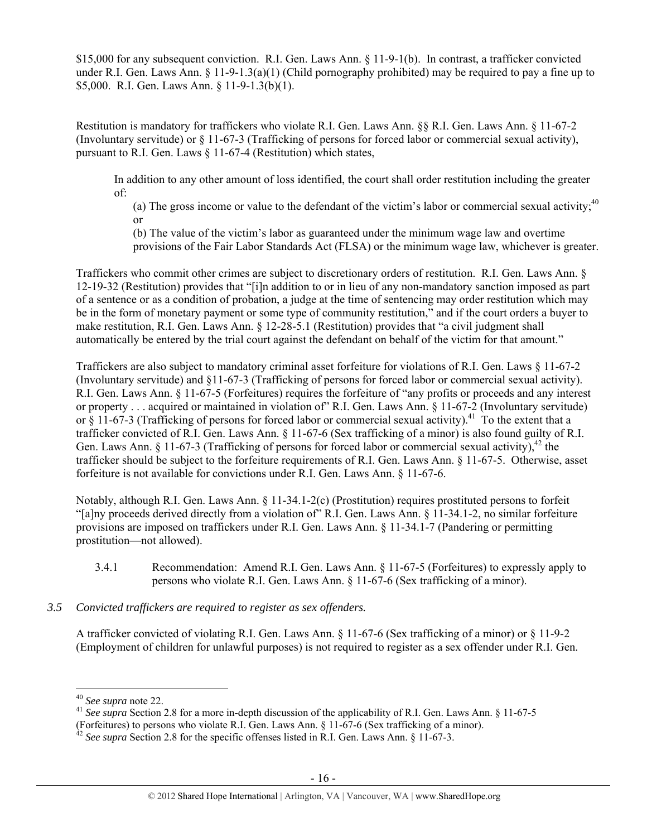\$15,000 for any subsequent conviction. R.I. Gen. Laws Ann. § 11-9-1(b). In contrast, a trafficker convicted under R.I. Gen. Laws Ann. § 11-9-1.3(a)(1) (Child pornography prohibited) may be required to pay a fine up to \$5,000. R.I. Gen. Laws Ann. § 11-9-1.3(b)(1).

Restitution is mandatory for traffickers who violate R.I. Gen. Laws Ann. §§ R.I. Gen. Laws Ann. § 11-67-2 (Involuntary servitude) or § 11-67-3 (Trafficking of persons for forced labor or commercial sexual activity), pursuant to R.I. Gen. Laws § 11-67-4 (Restitution) which states,

In addition to any other amount of loss identified, the court shall order restitution including the greater of:

(a) The gross income or value to the defendant of the victim's labor or commercial sexual activity; $40$ or

(b) The value of the victim's labor as guaranteed under the minimum wage law and overtime provisions of the Fair Labor Standards Act (FLSA) or the minimum wage law, whichever is greater.

Traffickers who commit other crimes are subject to discretionary orders of restitution. R.I. Gen. Laws Ann. § 12-19-32 (Restitution) provides that "[i]n addition to or in lieu of any non-mandatory sanction imposed as part of a sentence or as a condition of probation, a judge at the time of sentencing may order restitution which may be in the form of monetary payment or some type of community restitution," and if the court orders a buyer to make restitution, R.I. Gen. Laws Ann. § 12-28-5.1 (Restitution) provides that "a civil judgment shall automatically be entered by the trial court against the defendant on behalf of the victim for that amount."

Traffickers are also subject to mandatory criminal asset forfeiture for violations of R.I. Gen. Laws § 11-67-2 (Involuntary servitude) and §11-67-3 (Trafficking of persons for forced labor or commercial sexual activity). R.I. Gen. Laws Ann. § 11-67-5 (Forfeitures) requires the forfeiture of "any profits or proceeds and any interest or property . . . acquired or maintained in violation of" R.I. Gen. Laws Ann. § 11-67-2 (Involuntary servitude) or  $\frac{8}{11-67-3}$  (Trafficking of persons for forced labor or commercial sexual activity).<sup>41</sup> To the extent that a trafficker convicted of R.I. Gen. Laws Ann. § 11-67-6 (Sex trafficking of a minor) is also found guilty of R.I. Gen. Laws Ann. § 11-67-3 (Trafficking of persons for forced labor or commercial sexual activity),<sup>42</sup> the trafficker should be subject to the forfeiture requirements of R.I. Gen. Laws Ann. § 11-67-5. Otherwise, asset forfeiture is not available for convictions under R.I. Gen. Laws Ann. § 11-67-6.

Notably, although R.I. Gen. Laws Ann. § 11-34.1-2(c) (Prostitution) requires prostituted persons to forfeit "[a]ny proceeds derived directly from a violation of" R.I. Gen. Laws Ann. § 11-34.1-2, no similar forfeiture provisions are imposed on traffickers under R.I. Gen. Laws Ann. § 11-34.1-7 (Pandering or permitting prostitution—not allowed).

- 3.4.1 Recommendation: Amend R.I. Gen. Laws Ann. § 11-67-5 (Forfeitures) to expressly apply to persons who violate R.I. Gen. Laws Ann. § 11-67-6 (Sex trafficking of a minor).
- *3.5 Convicted traffickers are required to register as sex offenders.*

A trafficker convicted of violating R.I. Gen. Laws Ann. § 11-67-6 (Sex trafficking of a minor) or § 11-9-2 (Employment of children for unlawful purposes) is not required to register as a sex offender under R.I. Gen.

<sup>&</sup>lt;sup>40</sup> *See supra* note 22.<br><sup>41</sup> *See supra* Section 2.8 for a more in-depth discussion of the applicability of R.I. Gen. Laws Ann. § 11-67-5 (Forfeitures) to persons who violate R.I. Gen. Laws Ann. § 11-67-6 (Sex trafficking of a minor).

<sup>&</sup>lt;sup>42</sup> *See supra* Section 2.8 for the specific offenses listed in R.I. Gen. Laws Ann. § 11-67-3.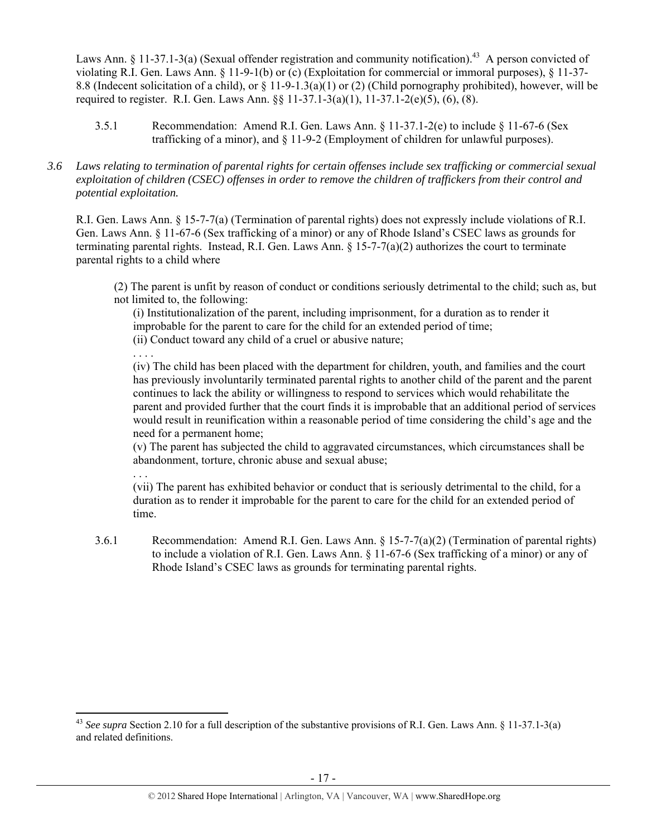Laws Ann. § 11-37.1-3(a) (Sexual offender registration and community notification).<sup>43</sup> A person convicted of violating R.I. Gen. Laws Ann. § 11-9-1(b) or (c) (Exploitation for commercial or immoral purposes), § 11-37- 8.8 (Indecent solicitation of a child), or  $\S$  11-9-1.3(a)(1) or (2) (Child pornography prohibited), however, will be required to register. R.I. Gen. Laws Ann. §§ 11-37.1-3(a)(1), 11-37.1-2(e)(5), (6), (8).

- 3.5.1 Recommendation: Amend R.I. Gen. Laws Ann. § 11-37.1-2(e) to include § 11-67-6 (Sex trafficking of a minor), and § 11-9-2 (Employment of children for unlawful purposes).
- *3.6 Laws relating to termination of parental rights for certain offenses include sex trafficking or commercial sexual exploitation of children (CSEC) offenses in order to remove the children of traffickers from their control and potential exploitation.*

R.I. Gen. Laws Ann. § 15-7-7(a) (Termination of parental rights) does not expressly include violations of R.I. Gen. Laws Ann. § 11-67-6 (Sex trafficking of a minor) or any of Rhode Island's CSEC laws as grounds for terminating parental rights. Instead, R.I. Gen. Laws Ann.  $\S 15$ -7-7(a)(2) authorizes the court to terminate parental rights to a child where

(2) The parent is unfit by reason of conduct or conditions seriously detrimental to the child; such as, but not limited to, the following:

(i) Institutionalization of the parent, including imprisonment, for a duration as to render it improbable for the parent to care for the child for an extended period of time; (ii) Conduct toward any child of a cruel or abusive nature;

. . . . (iv) The child has been placed with the department for children, youth, and families and the court has previously involuntarily terminated parental rights to another child of the parent and the parent continues to lack the ability or willingness to respond to services which would rehabilitate the parent and provided further that the court finds it is improbable that an additional period of services would result in reunification within a reasonable period of time considering the child's age and the need for a permanent home;

(v) The parent has subjected the child to aggravated circumstances, which circumstances shall be abandonment, torture, chronic abuse and sexual abuse;

(vii) The parent has exhibited behavior or conduct that is seriously detrimental to the child, for a duration as to render it improbable for the parent to care for the child for an extended period of time.

3.6.1 Recommendation: Amend R.I. Gen. Laws Ann. § 15-7-7(a)(2) (Termination of parental rights) to include a violation of R.I. Gen. Laws Ann. § 11-67-6 (Sex trafficking of a minor) or any of Rhode Island's CSEC laws as grounds for terminating parental rights.

. . .

<sup>43</sup> *See supra* Section 2.10 for a full description of the substantive provisions of R.I. Gen. Laws Ann. § 11-37.1-3(a) and related definitions.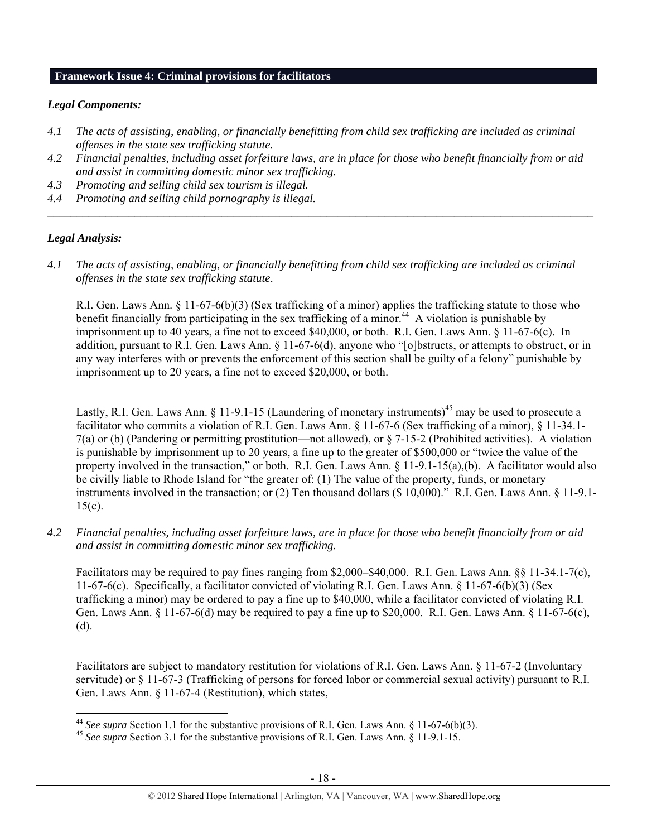# **Framework Issue 4: Criminal provisions for facilitators**

# *Legal Components:*

- *4.1 The acts of assisting, enabling, or financially benefitting from child sex trafficking are included as criminal offenses in the state sex trafficking statute.*
- *4.2 Financial penalties, including asset forfeiture laws, are in place for those who benefit financially from or aid and assist in committing domestic minor sex trafficking.*

*\_\_\_\_\_\_\_\_\_\_\_\_\_\_\_\_\_\_\_\_\_\_\_\_\_\_\_\_\_\_\_\_\_\_\_\_\_\_\_\_\_\_\_\_\_\_\_\_\_\_\_\_\_\_\_\_\_\_\_\_\_\_\_\_\_\_\_\_\_\_\_\_\_\_\_\_\_\_\_\_\_\_\_\_\_\_\_\_\_\_\_\_\_\_* 

- *4.3 Promoting and selling child sex tourism is illegal.*
- *4.4 Promoting and selling child pornography is illegal.*

# *Legal Analysis:*

*4.1 The acts of assisting, enabling, or financially benefitting from child sex trafficking are included as criminal offenses in the state sex trafficking statute*.

R.I. Gen. Laws Ann. § 11-67-6(b)(3) (Sex trafficking of a minor) applies the trafficking statute to those who benefit financially from participating in the sex trafficking of a minor.<sup>44</sup> A violation is punishable by imprisonment up to 40 years, a fine not to exceed \$40,000, or both. R.I. Gen. Laws Ann. § 11-67-6(c). In addition, pursuant to R.I. Gen. Laws Ann. § 11-67-6(d), anyone who "[o]bstructs, or attempts to obstruct, or in any way interferes with or prevents the enforcement of this section shall be guilty of a felony" punishable by imprisonment up to 20 years, a fine not to exceed \$20,000, or both.

Lastly, R.I. Gen. Laws Ann. § 11-9.1-15 (Laundering of monetary instruments)<sup>45</sup> may be used to prosecute a facilitator who commits a violation of R.I. Gen. Laws Ann. § 11-67-6 (Sex trafficking of a minor), § 11-34.1- 7(a) or (b) (Pandering or permitting prostitution—not allowed), or § 7-15-2 (Prohibited activities). A violation is punishable by imprisonment up to 20 years, a fine up to the greater of \$500,000 or "twice the value of the property involved in the transaction," or both. R.I. Gen. Laws Ann.  $\S$  11-9.1-15(a),(b). A facilitator would also be civilly liable to Rhode Island for "the greater of: (1) The value of the property, funds, or monetary instruments involved in the transaction; or (2) Ten thousand dollars (\$ 10,000)." R.I. Gen. Laws Ann. § 11-9.1-  $15(c)$ .

*4.2 Financial penalties, including asset forfeiture laws, are in place for those who benefit financially from or aid and assist in committing domestic minor sex trafficking.* 

Facilitators may be required to pay fines ranging from \$2,000–\$40,000. R.I. Gen. Laws Ann. §§ 11-34.1-7(c), 11-67-6(c). Specifically, a facilitator convicted of violating R.I. Gen. Laws Ann. § 11-67-6(b)(3) (Sex trafficking a minor) may be ordered to pay a fine up to \$40,000, while a facilitator convicted of violating R.I. Gen. Laws Ann. § 11-67-6(d) may be required to pay a fine up to \$20,000. R.I. Gen. Laws Ann. § 11-67-6(c), (d).

Facilitators are subject to mandatory restitution for violations of R.I. Gen. Laws Ann. § 11-67-2 (Involuntary servitude) or § 11-67-3 (Trafficking of persons for forced labor or commercial sexual activity) pursuant to R.I. Gen. Laws Ann. § 11-67-4 (Restitution), which states,

<sup>&</sup>lt;sup>44</sup> See supra Section 1.1 for the substantive provisions of R.I. Gen. Laws Ann. § 11-67-6(b)(3).

<sup>&</sup>lt;sup>45</sup> See supra Section 3.1 for the substantive provisions of R.I. Gen. Laws Ann. § 11-9.1-15.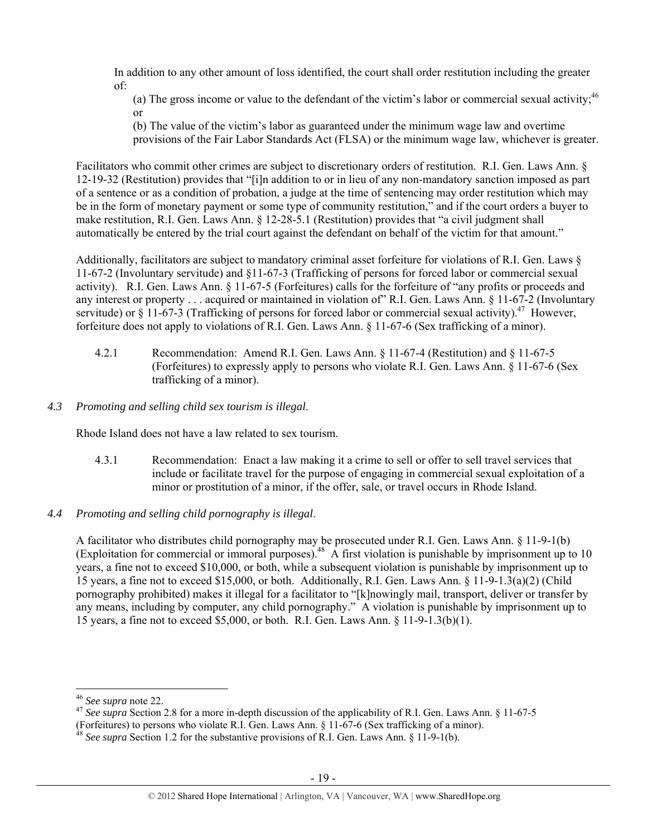In addition to any other amount of loss identified, the court shall order restitution including the greater of:

(a) The gross income or value to the defendant of the victim's labor or commercial sexual activity;  $46$ or

(b) The value of the victim's labor as guaranteed under the minimum wage law and overtime provisions of the Fair Labor Standards Act (FLSA) or the minimum wage law, whichever is greater.

Facilitators who commit other crimes are subject to discretionary orders of restitution. R.I. Gen. Laws Ann. § 12-19-32 (Restitution) provides that "[i]n addition to or in lieu of any non-mandatory sanction imposed as part of a sentence or as a condition of probation, a judge at the time of sentencing may order restitution which may be in the form of monetary payment or some type of community restitution," and if the court orders a buyer to make restitution, R.I. Gen. Laws Ann. § 12-28-5.1 (Restitution) provides that "a civil judgment shall automatically be entered by the trial court against the defendant on behalf of the victim for that amount."

Additionally, facilitators are subject to mandatory criminal asset forfeiture for violations of R.I. Gen. Laws § 11-67-2 (Involuntary servitude) and §11-67-3 (Trafficking of persons for forced labor or commercial sexual activity). R.I. Gen. Laws Ann. § 11-67-5 (Forfeitures) calls for the forfeiture of "any profits or proceeds and any interest or property . . . acquired or maintained in violation of" R.I. Gen. Laws Ann. § 11-67-2 (Involuntary servitude) or  $\S 11$ -67-3 (Trafficking of persons for forced labor or commercial sexual activity).<sup>47</sup> However, forfeiture does not apply to violations of R.I. Gen. Laws Ann. § 11-67-6 (Sex trafficking of a minor).

- 4.2.1 Recommendation: Amend R.I. Gen. Laws Ann. § 11-67-4 (Restitution) and § 11-67-5 (Forfeitures) to expressly apply to persons who violate R.I. Gen. Laws Ann. § 11-67-6 (Sex trafficking of a minor).
- *4.3 Promoting and selling child sex tourism is illegal*.

Rhode Island does not have a law related to sex tourism.

- 4.3.1 Recommendation: Enact a law making it a crime to sell or offer to sell travel services that include or facilitate travel for the purpose of engaging in commercial sexual exploitation of a minor or prostitution of a minor, if the offer, sale, or travel occurs in Rhode Island.
- *4.4 Promoting and selling child pornography is illegal*.

A facilitator who distributes child pornography may be prosecuted under R.I. Gen. Laws Ann. § 11-9-1(b) (Exploitation for commercial or immoral purposes).48 A first violation is punishable by imprisonment up to 10 years, a fine not to exceed \$10,000, or both, while a subsequent violation is punishable by imprisonment up to 15 years, a fine not to exceed \$15,000, or both. Additionally, R.I. Gen. Laws Ann. § 11-9-1.3(a)(2) (Child pornography prohibited) makes it illegal for a facilitator to "[k]nowingly mail, transport, deliver or transfer by any means, including by computer, any child pornography." A violation is punishable by imprisonment up to 15 years, a fine not to exceed \$5,000, or both. R.I. Gen. Laws Ann. § 11-9-1.3(b)(1).

<sup>&</sup>lt;sup>46</sup> *See supra* note 22.<br><sup>47</sup> *See supra* Section 2.8 for a more in-depth discussion of the applicability of R.I. Gen. Laws Ann. § 11-67-5 (Forfeitures) to persons who violate R.I. Gen. Laws Ann. § 11-67-6 (Sex trafficking of a minor).

<sup>&</sup>lt;sup>48</sup> See supra Section 1.2 for the substantive provisions of R.I. Gen. Laws Ann. § 11-9-1(b).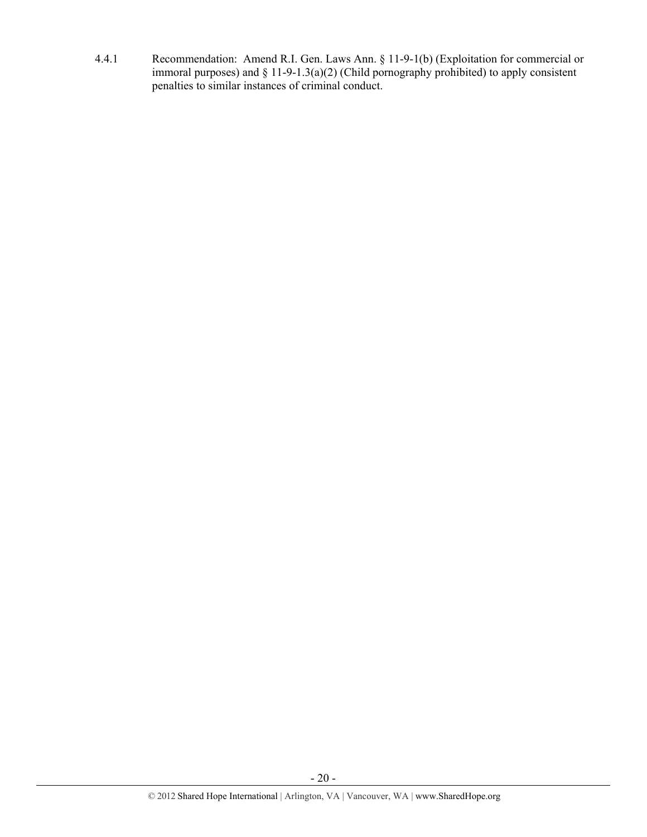4.4.1 Recommendation: Amend R.I. Gen. Laws Ann. § 11-9-1(b) (Exploitation for commercial or immoral purposes) and § 11-9-1.3(a)(2) (Child pornography prohibited) to apply consistent penalties to similar instances of criminal conduct.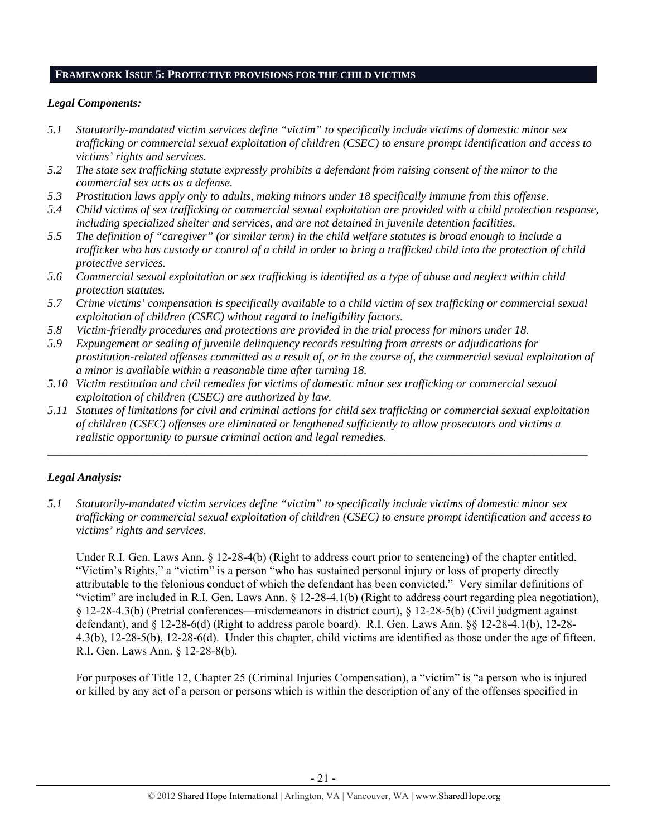# **FRAMEWORK ISSUE 5: PROTECTIVE PROVISIONS FOR THE CHILD VICTIMS**

## *Legal Components:*

- *5.1 Statutorily-mandated victim services define "victim" to specifically include victims of domestic minor sex trafficking or commercial sexual exploitation of children (CSEC) to ensure prompt identification and access to victims' rights and services.*
- *5.2 The state sex trafficking statute expressly prohibits a defendant from raising consent of the minor to the commercial sex acts as a defense.*
- *5.3 Prostitution laws apply only to adults, making minors under 18 specifically immune from this offense.*
- *5.4 Child victims of sex trafficking or commercial sexual exploitation are provided with a child protection response, including specialized shelter and services, and are not detained in juvenile detention facilities.*
- *5.5 The definition of "caregiver" (or similar term) in the child welfare statutes is broad enough to include a trafficker who has custody or control of a child in order to bring a trafficked child into the protection of child protective services.*
- *5.6 Commercial sexual exploitation or sex trafficking is identified as a type of abuse and neglect within child protection statutes.*
- *5.7 Crime victims' compensation is specifically available to a child victim of sex trafficking or commercial sexual exploitation of children (CSEC) without regard to ineligibility factors.*
- *5.8 Victim-friendly procedures and protections are provided in the trial process for minors under 18.*
- *5.9 Expungement or sealing of juvenile delinquency records resulting from arrests or adjudications for prostitution-related offenses committed as a result of, or in the course of, the commercial sexual exploitation of a minor is available within a reasonable time after turning 18.*
- *5.10 Victim restitution and civil remedies for victims of domestic minor sex trafficking or commercial sexual exploitation of children (CSEC) are authorized by law.*
- *5.11 Statutes of limitations for civil and criminal actions for child sex trafficking or commercial sexual exploitation of children (CSEC) offenses are eliminated or lengthened sufficiently to allow prosecutors and victims a realistic opportunity to pursue criminal action and legal remedies.*

*\_\_\_\_\_\_\_\_\_\_\_\_\_\_\_\_\_\_\_\_\_\_\_\_\_\_\_\_\_\_\_\_\_\_\_\_\_\_\_\_\_\_\_\_\_\_\_\_\_\_\_\_\_\_\_\_\_\_\_\_\_\_\_\_\_\_\_\_\_\_\_\_\_\_\_\_\_\_\_\_\_\_\_\_\_\_\_\_\_\_\_\_\_* 

# *Legal Analysis:*

*5.1 Statutorily-mandated victim services define "victim" to specifically include victims of domestic minor sex trafficking or commercial sexual exploitation of children (CSEC) to ensure prompt identification and access to victims' rights and services.* 

Under R.I. Gen. Laws Ann. § 12-28-4(b) (Right to address court prior to sentencing) of the chapter entitled, "Victim's Rights," a "victim" is a person "who has sustained personal injury or loss of property directly attributable to the felonious conduct of which the defendant has been convicted." Very similar definitions of "victim" are included in R.I. Gen. Laws Ann. § 12-28-4.1(b) (Right to address court regarding plea negotiation), § 12-28-4.3(b) (Pretrial conferences—misdemeanors in district court), § 12-28-5(b) (Civil judgment against defendant), and  $\S$  12-28-6(d) (Right to address parole board). R.I. Gen. Laws Ann.  $\S$  12-28-4.1(b), 12-28-4.3(b), 12-28-5(b), 12-28-6(d). Under this chapter, child victims are identified as those under the age of fifteen. R.I. Gen. Laws Ann. § 12-28-8(b).

For purposes of Title 12, Chapter 25 (Criminal Injuries Compensation), a "victim" is "a person who is injured or killed by any act of a person or persons which is within the description of any of the offenses specified in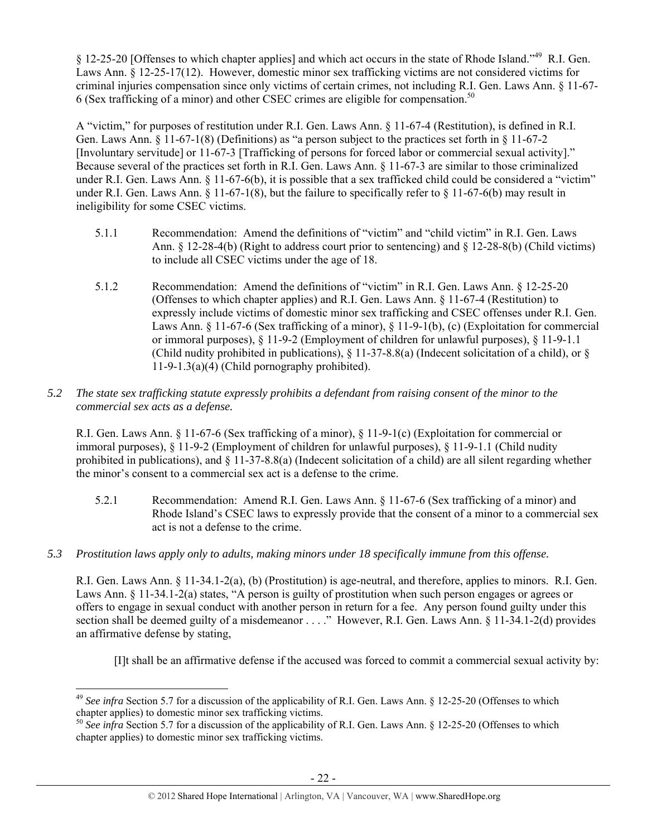§ 12-25-20 [Offenses to which chapter applies] and which act occurs in the state of Rhode Island."49 R.I. Gen. Laws Ann. § 12-25-17(12). However, domestic minor sex trafficking victims are not considered victims for criminal injuries compensation since only victims of certain crimes, not including R.I. Gen. Laws Ann. § 11-67- 6 (Sex trafficking of a minor) and other CSEC crimes are eligible for compensation.50

A "victim," for purposes of restitution under R.I. Gen. Laws Ann. § 11-67-4 (Restitution), is defined in R.I. Gen. Laws Ann. § 11-67-1(8) (Definitions) as "a person subject to the practices set forth in § 11-67-2 [Involuntary servitude] or 11-67-3 [Trafficking of persons for forced labor or commercial sexual activity]." Because several of the practices set forth in R.I. Gen. Laws Ann. § 11-67-3 are similar to those criminalized under R.I. Gen. Laws Ann. § 11-67-6(b), it is possible that a sex trafficked child could be considered a "victim" under R.I. Gen. Laws Ann.  $\S$  11-67-1(8), but the failure to specifically refer to  $\S$  11-67-6(b) may result in ineligibility for some CSEC victims.

- 5.1.1 Recommendation: Amend the definitions of "victim" and "child victim" in R.I. Gen. Laws Ann. § 12-28-4(b) (Right to address court prior to sentencing) and § 12-28-8(b) (Child victims) to include all CSEC victims under the age of 18.
- 5.1.2 Recommendation: Amend the definitions of "victim" in R.I. Gen. Laws Ann. § 12-25-20 (Offenses to which chapter applies) and R.I. Gen. Laws Ann. § 11-67-4 (Restitution) to expressly include victims of domestic minor sex trafficking and CSEC offenses under R.I. Gen. Laws Ann. § 11-67-6 (Sex trafficking of a minor), § 11-9-1(b), (c) (Exploitation for commercial or immoral purposes), § 11-9-2 (Employment of children for unlawful purposes), § 11-9-1.1 (Child nudity prohibited in publications),  $\S$  11-37-8.8(a) (Indecent solicitation of a child), or  $\S$  $11-9-1.3(a)(4)$  (Child pornography prohibited).

# *5.2 The state sex trafficking statute expressly prohibits a defendant from raising consent of the minor to the commercial sex acts as a defense.*

R.I. Gen. Laws Ann. § 11-67-6 (Sex trafficking of a minor), § 11-9-1(c) (Exploitation for commercial or immoral purposes), § 11-9-2 (Employment of children for unlawful purposes), § 11-9-1.1 (Child nudity prohibited in publications), and  $\S 11-37-8.8(a)$  (Indecent solicitation of a child) are all silent regarding whether the minor's consent to a commercial sex act is a defense to the crime.

- 5.2.1 Recommendation: Amend R.I. Gen. Laws Ann. § 11-67-6 (Sex trafficking of a minor) and Rhode Island's CSEC laws to expressly provide that the consent of a minor to a commercial sex act is not a defense to the crime.
- *5.3 Prostitution laws apply only to adults, making minors under 18 specifically immune from this offense.*

R.I. Gen. Laws Ann. § 11-34.1-2(a), (b) (Prostitution) is age-neutral, and therefore, applies to minors. R.I. Gen. Laws Ann. § 11-34.1-2(a) states, "A person is guilty of prostitution when such person engages or agrees or offers to engage in sexual conduct with another person in return for a fee. Any person found guilty under this section shall be deemed guilty of a misdemeanor . . . ." However, R.I. Gen. Laws Ann. § 11-34.1-2(d) provides an affirmative defense by stating,

[I]t shall be an affirmative defense if the accused was forced to commit a commercial sexual activity by:

<sup>&</sup>lt;sup>49</sup> See infra Section 5.7 for a discussion of the applicability of R.I. Gen. Laws Ann. § 12-25-20 (Offenses to which chapter applies) to domestic minor sex trafficking victims.

<sup>&</sup>lt;sup>50</sup> See infra Section 5.7 for a discussion of the applicability of R.I. Gen. Laws Ann. § 12-25-20 (Offenses to which chapter applies) to domestic minor sex trafficking victims.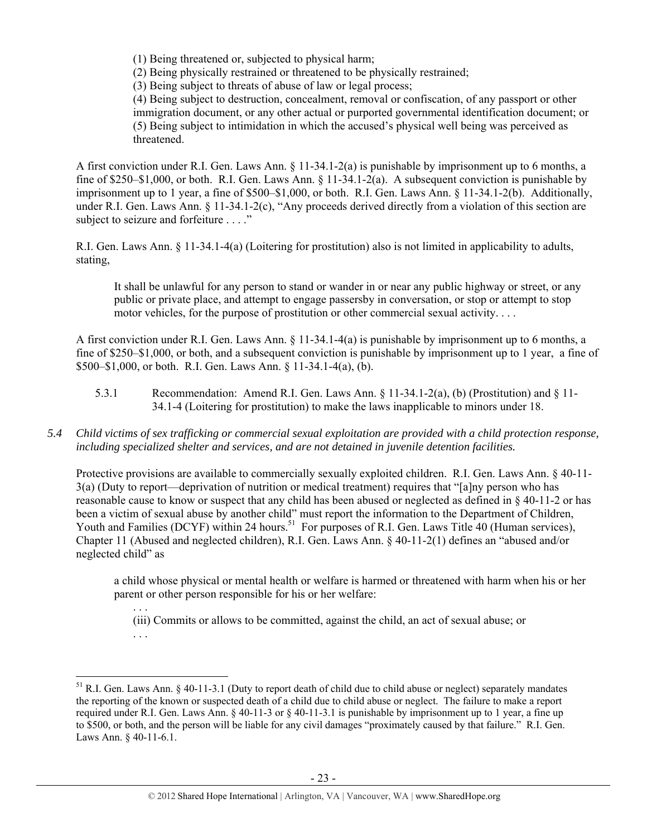(1) Being threatened or, subjected to physical harm;

(2) Being physically restrained or threatened to be physically restrained;

(3) Being subject to threats of abuse of law or legal process;

(4) Being subject to destruction, concealment, removal or confiscation, of any passport or other immigration document, or any other actual or purported governmental identification document; or (5) Being subject to intimidation in which the accused's physical well being was perceived as threatened.

A first conviction under R.I. Gen. Laws Ann. § 11-34.1-2(a) is punishable by imprisonment up to 6 months, a fine of \$250–\$1,000, or both. R.I. Gen. Laws Ann. § 11-34.1-2(a). A subsequent conviction is punishable by imprisonment up to 1 year, a fine of \$500–\$1,000, or both. R.I. Gen. Laws Ann. § 11-34.1-2(b). Additionally, under R.I. Gen. Laws Ann. § 11-34.1-2(c), "Any proceeds derived directly from a violation of this section are subject to seizure and forfeiture . . . ."

R.I. Gen. Laws Ann. § 11-34.1-4(a) (Loitering for prostitution) also is not limited in applicability to adults, stating,

It shall be unlawful for any person to stand or wander in or near any public highway or street, or any public or private place, and attempt to engage passersby in conversation, or stop or attempt to stop motor vehicles, for the purpose of prostitution or other commercial sexual activity. . . .

A first conviction under R.I. Gen. Laws Ann. § 11-34.1-4(a) is punishable by imprisonment up to 6 months, a fine of \$250–\$1,000, or both, and a subsequent conviction is punishable by imprisonment up to 1 year, a fine of \$500–\$1,000, or both. R.I. Gen. Laws Ann. § 11-34.1-4(a), (b).

- 5.3.1 Recommendation: Amend R.I. Gen. Laws Ann. § 11-34.1-2(a), (b) (Prostitution) and § 11- 34.1-4 (Loitering for prostitution) to make the laws inapplicable to minors under 18.
- *5.4 Child victims of sex trafficking or commercial sexual exploitation are provided with a child protection response, including specialized shelter and services, and are not detained in juvenile detention facilities.*

Protective provisions are available to commercially sexually exploited children. R.I. Gen. Laws Ann. § 40-11- 3(a) (Duty to report—deprivation of nutrition or medical treatment) requires that "[a]ny person who has reasonable cause to know or suspect that any child has been abused or neglected as defined in § 40-11-2 or has been a victim of sexual abuse by another child" must report the information to the Department of Children, Youth and Families (DCYF) within 24 hours.<sup>51</sup> For purposes of R.I. Gen. Laws Title 40 (Human services), Chapter 11 (Abused and neglected children), R.I. Gen. Laws Ann. § 40-11-2(1) defines an "abused and/or neglected child" as

a child whose physical or mental health or welfare is harmed or threatened with harm when his or her parent or other person responsible for his or her welfare:

. . . (iii) Commits or allows to be committed, against the child, an act of sexual abuse; or

. . .

 $51$  R.I. Gen. Laws Ann. § 40-11-3.1 (Duty to report death of child due to child abuse or neglect) separately mandates the reporting of the known or suspected death of a child due to child abuse or neglect. The failure to make a report required under R.I. Gen. Laws Ann. § 40-11-3 or § 40-11-3.1 is punishable by imprisonment up to 1 year, a fine up to \$500, or both, and the person will be liable for any civil damages "proximately caused by that failure." R.I. Gen. Laws Ann. § 40-11-6.1.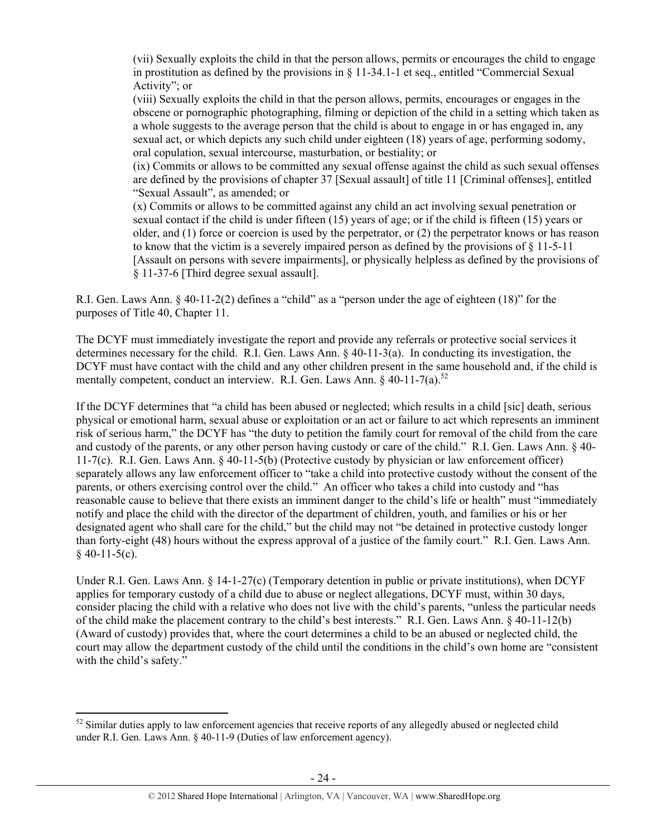(vii) Sexually exploits the child in that the person allows, permits or encourages the child to engage in prostitution as defined by the provisions in § 11-34.1-1 et seq., entitled "Commercial Sexual Activity"; or

(viii) Sexually exploits the child in that the person allows, permits, encourages or engages in the obscene or pornographic photographing, filming or depiction of the child in a setting which taken as a whole suggests to the average person that the child is about to engage in or has engaged in, any sexual act, or which depicts any such child under eighteen (18) years of age, performing sodomy, oral copulation, sexual intercourse, masturbation, or bestiality; or

(ix) Commits or allows to be committed any sexual offense against the child as such sexual offenses are defined by the provisions of chapter 37 [Sexual assault] of title 11 [Criminal offenses], entitled "Sexual Assault", as amended; or

(x) Commits or allows to be committed against any child an act involving sexual penetration or sexual contact if the child is under fifteen (15) years of age; or if the child is fifteen (15) years or older, and (1) force or coercion is used by the perpetrator, or (2) the perpetrator knows or has reason to know that the victim is a severely impaired person as defined by the provisions of  $\S 11-5-11$ [Assault on persons with severe impairments], or physically helpless as defined by the provisions of § 11-37-6 [Third degree sexual assault].

R.I. Gen. Laws Ann. § 40-11-2(2) defines a "child" as a "person under the age of eighteen (18)" for the purposes of Title 40, Chapter 11.

The DCYF must immediately investigate the report and provide any referrals or protective social services it determines necessary for the child. R.I. Gen. Laws Ann. § 40-11-3(a). In conducting its investigation, the DCYF must have contact with the child and any other children present in the same household and, if the child is mentally competent, conduct an interview. R.I. Gen. Laws Ann. § 40-11-7(a).<sup>52</sup>

If the DCYF determines that "a child has been abused or neglected; which results in a child [sic] death, serious physical or emotional harm, sexual abuse or exploitation or an act or failure to act which represents an imminent risk of serious harm," the DCYF has "the duty to petition the family court for removal of the child from the care and custody of the parents, or any other person having custody or care of the child." R.I. Gen. Laws Ann. § 40- 11-7(c). R.I. Gen. Laws Ann. § 40-11-5(b) (Protective custody by physician or law enforcement officer) separately allows any law enforcement officer to "take a child into protective custody without the consent of the parents, or others exercising control over the child." An officer who takes a child into custody and "has reasonable cause to believe that there exists an imminent danger to the child's life or health" must "immediately notify and place the child with the director of the department of children, youth, and families or his or her designated agent who shall care for the child," but the child may not "be detained in protective custody longer than forty-eight (48) hours without the express approval of a justice of the family court." R.I. Gen. Laws Ann.  $§$  40-11-5(c).

Under R.I. Gen. Laws Ann. § 14-1-27(c) (Temporary detention in public or private institutions), when DCYF applies for temporary custody of a child due to abuse or neglect allegations, DCYF must, within 30 days, consider placing the child with a relative who does not live with the child's parents, "unless the particular needs of the child make the placement contrary to the child's best interests." R.I. Gen. Laws Ann. § 40-11-12(b) (Award of custody) provides that, where the court determines a child to be an abused or neglected child, the court may allow the department custody of the child until the conditions in the child's own home are "consistent with the child's safety."

 $52$  Similar duties apply to law enforcement agencies that receive reports of any allegedly abused or neglected child under R.I. Gen. Laws Ann. § 40-11-9 (Duties of law enforcement agency).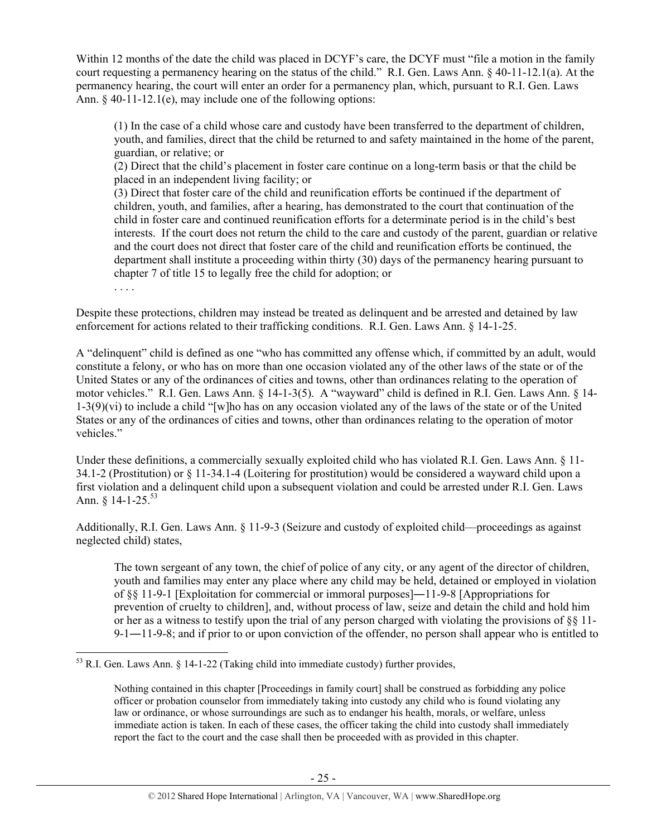Within 12 months of the date the child was placed in DCYF's care, the DCYF must "file a motion in the family court requesting a permanency hearing on the status of the child." R.I. Gen. Laws Ann. § 40-11-12.1(a). At the permanency hearing, the court will enter an order for a permanency plan, which, pursuant to R.I. Gen. Laws Ann. § 40-11-12.1(e), may include one of the following options:

(1) In the case of a child whose care and custody have been transferred to the department of children, youth, and families, direct that the child be returned to and safety maintained in the home of the parent, guardian, or relative; or

(2) Direct that the child's placement in foster care continue on a long-term basis or that the child be placed in an independent living facility; or

(3) Direct that foster care of the child and reunification efforts be continued if the department of children, youth, and families, after a hearing, has demonstrated to the court that continuation of the child in foster care and continued reunification efforts for a determinate period is in the child's best interests. If the court does not return the child to the care and custody of the parent, guardian or relative and the court does not direct that foster care of the child and reunification efforts be continued, the department shall institute a proceeding within thirty (30) days of the permanency hearing pursuant to chapter 7 of title 15 to legally free the child for adoption; or

. . . .

Despite these protections, children may instead be treated as delinquent and be arrested and detained by law enforcement for actions related to their trafficking conditions. R.I. Gen. Laws Ann. § 14-1-25.

A "delinquent" child is defined as one "who has committed any offense which, if committed by an adult, would constitute a felony, or who has on more than one occasion violated any of the other laws of the state or of the United States or any of the ordinances of cities and towns, other than ordinances relating to the operation of motor vehicles." R.I. Gen. Laws Ann. § 14-1-3(5). A "wayward" child is defined in R.I. Gen. Laws Ann. § 14- 1-3(9)(vi) to include a child "[w]ho has on any occasion violated any of the laws of the state or of the United States or any of the ordinances of cities and towns, other than ordinances relating to the operation of motor vehicles."

Under these definitions, a commercially sexually exploited child who has violated R.I. Gen. Laws Ann. § 11- 34.1-2 (Prostitution) or § 11-34.1-4 (Loitering for prostitution) would be considered a wayward child upon a first violation and a delinquent child upon a subsequent violation and could be arrested under R.I. Gen. Laws Ann.  $§$  14-1-25.<sup>53</sup>

Additionally, R.I. Gen. Laws Ann. § 11-9-3 (Seizure and custody of exploited child—proceedings as against neglected child) states,

The town sergeant of any town, the chief of police of any city, or any agent of the director of children, youth and families may enter any place where any child may be held, detained or employed in violation of §§ 11-9-1 [Exploitation for commercial or immoral purposes]―11-9-8 [Appropriations for prevention of cruelty to children], and, without process of law, seize and detain the child and hold him or her as a witness to testify upon the trial of any person charged with violating the provisions of §§ 11- 9-1―11-9-8; and if prior to or upon conviction of the offender, no person shall appear who is entitled to

 $53$  R.I. Gen. Laws Ann. § 14-1-22 (Taking child into immediate custody) further provides,

Nothing contained in this chapter [Proceedings in family court] shall be construed as forbidding any police officer or probation counselor from immediately taking into custody any child who is found violating any law or ordinance, or whose surroundings are such as to endanger his health, morals, or welfare, unless immediate action is taken. In each of these cases, the officer taking the child into custody shall immediately report the fact to the court and the case shall then be proceeded with as provided in this chapter.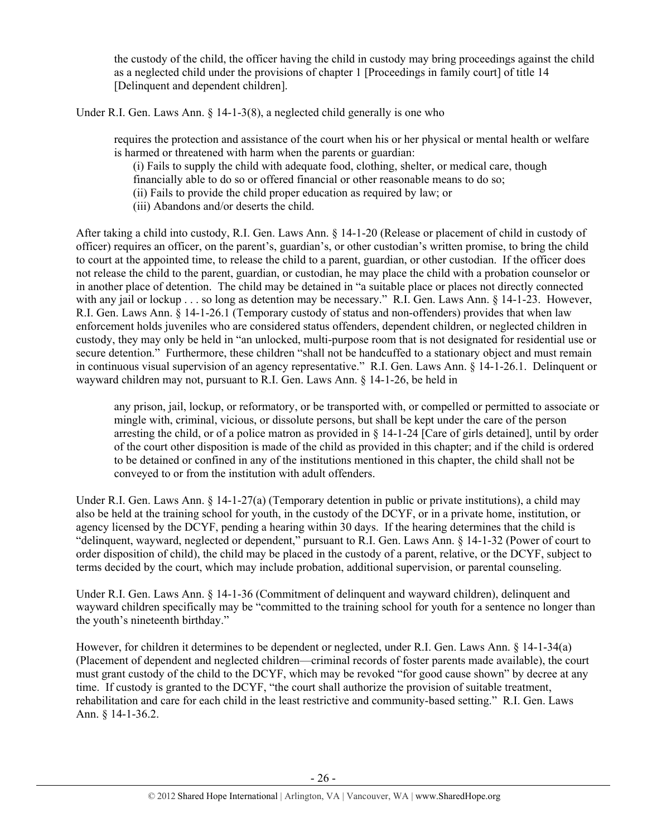the custody of the child, the officer having the child in custody may bring proceedings against the child as a neglected child under the provisions of chapter 1 [Proceedings in family court] of title 14 [Delinquent and dependent children].

Under R.I. Gen. Laws Ann. § 14-1-3(8), a neglected child generally is one who

requires the protection and assistance of the court when his or her physical or mental health or welfare is harmed or threatened with harm when the parents or guardian:

(i) Fails to supply the child with adequate food, clothing, shelter, or medical care, though

financially able to do so or offered financial or other reasonable means to do so;

(ii) Fails to provide the child proper education as required by law; or

(iii) Abandons and/or deserts the child.

After taking a child into custody, R.I. Gen. Laws Ann. § 14-1-20 (Release or placement of child in custody of officer) requires an officer, on the parent's, guardian's, or other custodian's written promise, to bring the child to court at the appointed time, to release the child to a parent, guardian, or other custodian. If the officer does not release the child to the parent, guardian, or custodian, he may place the child with a probation counselor or in another place of detention. The child may be detained in "a suitable place or places not directly connected with any jail or lockup . . . so long as detention may be necessary." R.I. Gen. Laws Ann. § 14-1-23. However, R.I. Gen. Laws Ann. § 14-1-26.1 (Temporary custody of status and non-offenders) provides that when law enforcement holds juveniles who are considered status offenders, dependent children, or neglected children in custody, they may only be held in "an unlocked, multi-purpose room that is not designated for residential use or secure detention." Furthermore, these children "shall not be handcuffed to a stationary object and must remain in continuous visual supervision of an agency representative." R.I. Gen. Laws Ann. § 14-1-26.1. Delinquent or wayward children may not, pursuant to R.I. Gen. Laws Ann. § 14-1-26, be held in

any prison, jail, lockup, or reformatory, or be transported with, or compelled or permitted to associate or mingle with, criminal, vicious, or dissolute persons, but shall be kept under the care of the person arresting the child, or of a police matron as provided in  $\S$  14-1-24 [Care of girls detained], until by order of the court other disposition is made of the child as provided in this chapter; and if the child is ordered to be detained or confined in any of the institutions mentioned in this chapter, the child shall not be conveyed to or from the institution with adult offenders.

Under R.I. Gen. Laws Ann. § 14-1-27(a) (Temporary detention in public or private institutions), a child may also be held at the training school for youth, in the custody of the DCYF, or in a private home, institution, or agency licensed by the DCYF, pending a hearing within 30 days. If the hearing determines that the child is "delinquent, wayward, neglected or dependent," pursuant to R.I. Gen. Laws Ann. § 14-1-32 (Power of court to order disposition of child), the child may be placed in the custody of a parent, relative, or the DCYF, subject to terms decided by the court, which may include probation, additional supervision, or parental counseling.

Under R.I. Gen. Laws Ann. § 14-1-36 (Commitment of delinquent and wayward children), delinquent and wayward children specifically may be "committed to the training school for youth for a sentence no longer than the youth's nineteenth birthday."

However, for children it determines to be dependent or neglected, under R.I. Gen. Laws Ann. § 14-1-34(a) (Placement of dependent and neglected children—criminal records of foster parents made available), the court must grant custody of the child to the DCYF, which may be revoked "for good cause shown" by decree at any time. If custody is granted to the DCYF, "the court shall authorize the provision of suitable treatment, rehabilitation and care for each child in the least restrictive and community-based setting." R.I. Gen. Laws Ann. § 14-1-36.2.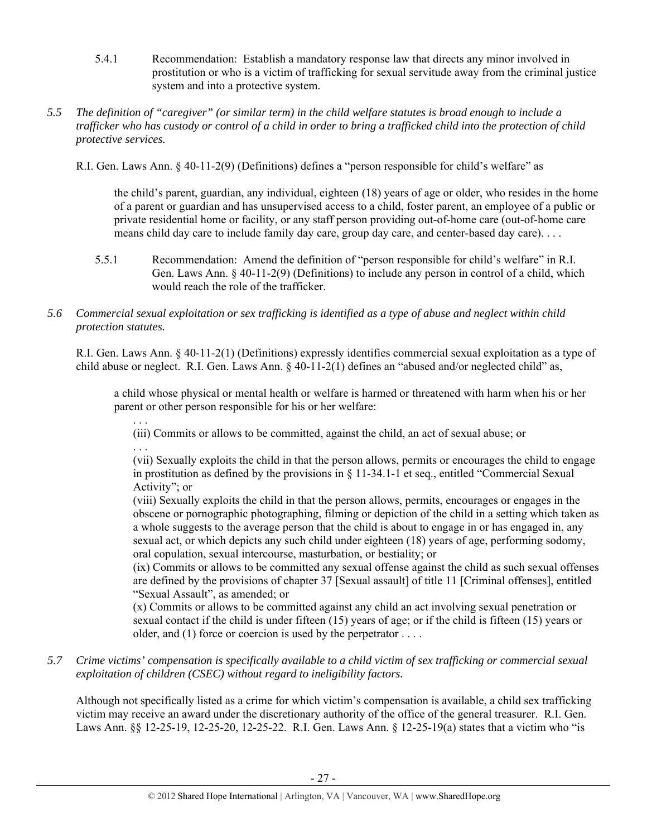- 5.4.1 Recommendation: Establish a mandatory response law that directs any minor involved in prostitution or who is a victim of trafficking for sexual servitude away from the criminal justice system and into a protective system.
- *5.5 The definition of "caregiver" (or similar term) in the child welfare statutes is broad enough to include a trafficker who has custody or control of a child in order to bring a trafficked child into the protection of child protective services.*

R.I. Gen. Laws Ann. § 40-11-2(9) (Definitions) defines a "person responsible for child's welfare" as

the child's parent, guardian, any individual, eighteen (18) years of age or older, who resides in the home of a parent or guardian and has unsupervised access to a child, foster parent, an employee of a public or private residential home or facility, or any staff person providing out-of-home care (out-of-home care means child day care to include family day care, group day care, and center-based day care). . . .

- 5.5.1 Recommendation: Amend the definition of "person responsible for child's welfare" in R.I. Gen. Laws Ann. § 40-11-2(9) (Definitions) to include any person in control of a child, which would reach the role of the trafficker.
- *5.6 Commercial sexual exploitation or sex trafficking is identified as a type of abuse and neglect within child protection statutes.*

R.I. Gen. Laws Ann. § 40-11-2(1) (Definitions) expressly identifies commercial sexual exploitation as a type of child abuse or neglect. R.I. Gen. Laws Ann. § 40-11-2(1) defines an "abused and/or neglected child" as,

a child whose physical or mental health or welfare is harmed or threatened with harm when his or her parent or other person responsible for his or her welfare:

. . . (iii) Commits or allows to be committed, against the child, an act of sexual abuse; or . . .

(vii) Sexually exploits the child in that the person allows, permits or encourages the child to engage in prostitution as defined by the provisions in § 11-34.1-1 et seq., entitled "Commercial Sexual Activity"; or

(viii) Sexually exploits the child in that the person allows, permits, encourages or engages in the obscene or pornographic photographing, filming or depiction of the child in a setting which taken as a whole suggests to the average person that the child is about to engage in or has engaged in, any sexual act, or which depicts any such child under eighteen (18) years of age, performing sodomy, oral copulation, sexual intercourse, masturbation, or bestiality; or

(ix) Commits or allows to be committed any sexual offense against the child as such sexual offenses are defined by the provisions of chapter 37 [Sexual assault] of title 11 [Criminal offenses], entitled "Sexual Assault", as amended; or

(x) Commits or allows to be committed against any child an act involving sexual penetration or sexual contact if the child is under fifteen (15) years of age; or if the child is fifteen (15) years or older, and (1) force or coercion is used by the perpetrator . . . .

*5.7 Crime victims' compensation is specifically available to a child victim of sex trafficking or commercial sexual exploitation of children (CSEC) without regard to ineligibility factors.* 

Although not specifically listed as a crime for which victim's compensation is available, a child sex trafficking victim may receive an award under the discretionary authority of the office of the general treasurer. R.I. Gen. Laws Ann. §§ 12-25-19, 12-25-20, 12-25-22. R.I. Gen. Laws Ann. § 12-25-19(a) states that a victim who "is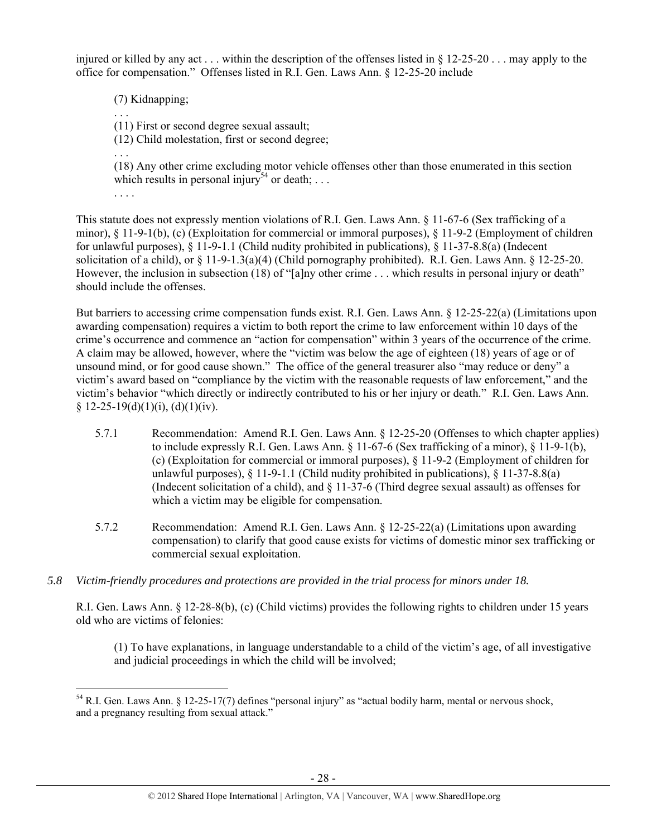injured or killed by any act . . . within the description of the offenses listed in § 12-25-20 . . . may apply to the office for compensation." Offenses listed in R.I. Gen. Laws Ann. § 12-25-20 include

(7) Kidnapping;

(11) First or second degree sexual assault;

(12) Child molestation, first or second degree;

(18) Any other crime excluding motor vehicle offenses other than those enumerated in this section which results in personal injury<sup>54</sup> or death; ...

. . . .

. . .

. . .

This statute does not expressly mention violations of R.I. Gen. Laws Ann. § 11-67-6 (Sex trafficking of a minor), § 11-9-1(b), (c) (Exploitation for commercial or immoral purposes), § 11-9-2 (Employment of children for unlawful purposes), § 11-9-1.1 (Child nudity prohibited in publications), § 11-37-8.8(a) (Indecent solicitation of a child), or § 11-9-1.3(a)(4) (Child pornography prohibited). R.I. Gen. Laws Ann. § 12-25-20. However, the inclusion in subsection (18) of "[a]ny other crime . . . which results in personal injury or death" should include the offenses.

But barriers to accessing crime compensation funds exist. R.I. Gen. Laws Ann. § 12-25-22(a) (Limitations upon awarding compensation) requires a victim to both report the crime to law enforcement within 10 days of the crime's occurrence and commence an "action for compensation" within 3 years of the occurrence of the crime. A claim may be allowed, however, where the "victim was below the age of eighteen (18) years of age or of unsound mind, or for good cause shown." The office of the general treasurer also "may reduce or deny" a victim's award based on "compliance by the victim with the reasonable requests of law enforcement," and the victim's behavior "which directly or indirectly contributed to his or her injury or death." R.I. Gen. Laws Ann.  $§ 12-25-19(d)(1)(i), (d)(1)(iv).$ 

- 5.7.1 Recommendation: Amend R.I. Gen. Laws Ann. § 12-25-20 (Offenses to which chapter applies) to include expressly R.I. Gen. Laws Ann. § 11-67-6 (Sex trafficking of a minor), § 11-9-1(b), (c) (Exploitation for commercial or immoral purposes), § 11-9-2 (Employment of children for unlawful purposes),  $\S 11-9-1.1$  (Child nudity prohibited in publications),  $\S 11-37-8.8(a)$ (Indecent solicitation of a child), and § 11-37-6 (Third degree sexual assault) as offenses for which a victim may be eligible for compensation.
- 5.7.2 Recommendation: Amend R.I. Gen. Laws Ann. § 12-25-22(a) (Limitations upon awarding compensation) to clarify that good cause exists for victims of domestic minor sex trafficking or commercial sexual exploitation.
- *5.8 Victim-friendly procedures and protections are provided in the trial process for minors under 18.*

R.I. Gen. Laws Ann. § 12-28-8(b), (c) (Child victims) provides the following rights to children under 15 years old who are victims of felonies:

(1) To have explanations, in language understandable to a child of the victim's age, of all investigative and judicial proceedings in which the child will be involved;

<sup>54</sup> R.I. Gen. Laws Ann. § 12-25-17(7) defines "personal injury" as "actual bodily harm, mental or nervous shock, and a pregnancy resulting from sexual attack."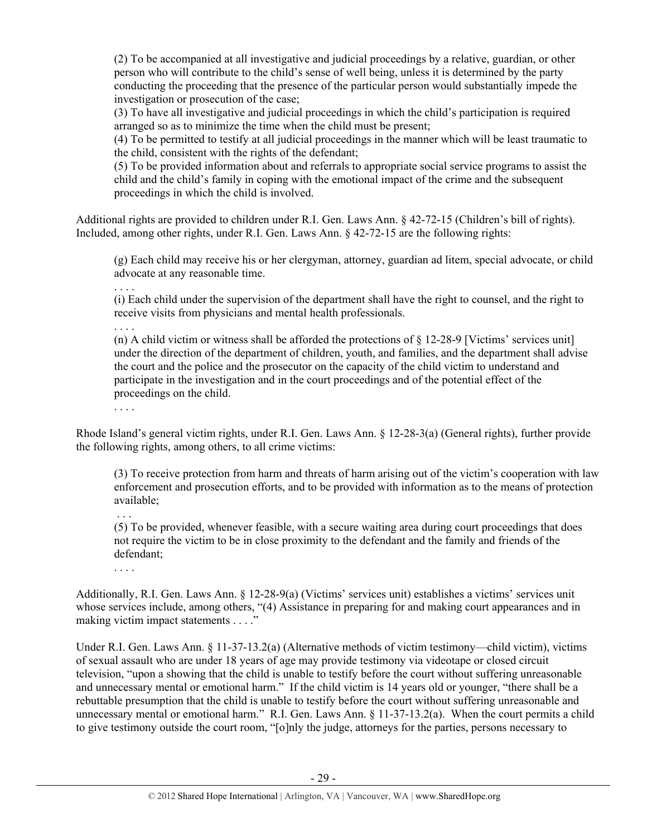(2) To be accompanied at all investigative and judicial proceedings by a relative, guardian, or other person who will contribute to the child's sense of well being, unless it is determined by the party conducting the proceeding that the presence of the particular person would substantially impede the investigation or prosecution of the case;

(3) To have all investigative and judicial proceedings in which the child's participation is required arranged so as to minimize the time when the child must be present;

(4) To be permitted to testify at all judicial proceedings in the manner which will be least traumatic to the child, consistent with the rights of the defendant;

(5) To be provided information about and referrals to appropriate social service programs to assist the child and the child's family in coping with the emotional impact of the crime and the subsequent proceedings in which the child is involved.

Additional rights are provided to children under R.I. Gen. Laws Ann. § 42-72-15 (Children's bill of rights). Included, among other rights, under R.I. Gen. Laws Ann. § 42-72-15 are the following rights:

(g) Each child may receive his or her clergyman, attorney, guardian ad litem, special advocate, or child advocate at any reasonable time.

. . . . (i) Each child under the supervision of the department shall have the right to counsel, and the right to receive visits from physicians and mental health professionals.

(n) A child victim or witness shall be afforded the protections of  $\S$  12-28-9 [Victims' services unit] under the direction of the department of children, youth, and families, and the department shall advise the court and the police and the prosecutor on the capacity of the child victim to understand and participate in the investigation and in the court proceedings and of the potential effect of the proceedings on the child.

. . . .

. . . .

Rhode Island's general victim rights, under R.I. Gen. Laws Ann. § 12-28-3(a) (General rights), further provide the following rights, among others, to all crime victims:

(3) To receive protection from harm and threats of harm arising out of the victim's cooperation with law enforcement and prosecution efforts, and to be provided with information as to the means of protection available;

(5) To be provided, whenever feasible, with a secure waiting area during court proceedings that does not require the victim to be in close proximity to the defendant and the family and friends of the defendant;

. . . .

Additionally, R.I. Gen. Laws Ann. § 12-28-9(a) (Victims' services unit) establishes a victims' services unit whose services include, among others, "(4) Assistance in preparing for and making court appearances and in making victim impact statements . . . ."

Under R.I. Gen. Laws Ann. § 11-37-13.2(a) (Alternative methods of victim testimony—child victim), victims of sexual assault who are under 18 years of age may provide testimony via videotape or closed circuit television, "upon a showing that the child is unable to testify before the court without suffering unreasonable and unnecessary mental or emotional harm." If the child victim is 14 years old or younger, "there shall be a rebuttable presumption that the child is unable to testify before the court without suffering unreasonable and unnecessary mental or emotional harm." R.I. Gen. Laws Ann. § 11-37-13.2(a). When the court permits a child to give testimony outside the court room, "[o]nly the judge, attorneys for the parties, persons necessary to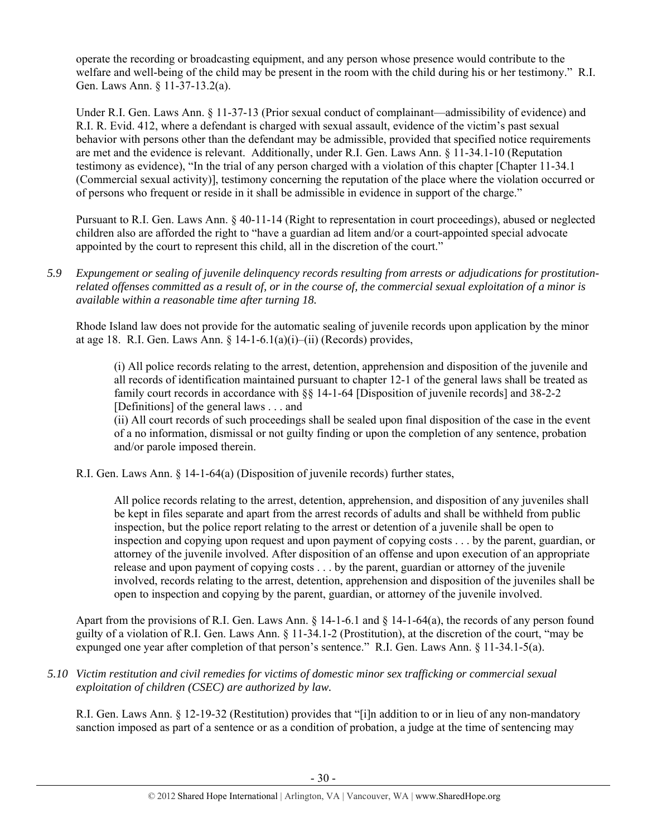operate the recording or broadcasting equipment, and any person whose presence would contribute to the welfare and well-being of the child may be present in the room with the child during his or her testimony." R.I. Gen. Laws Ann. § 11-37-13.2(a).

Under R.I. Gen. Laws Ann. § 11-37-13 (Prior sexual conduct of complainant—admissibility of evidence) and R.I. R. Evid. 412, where a defendant is charged with sexual assault, evidence of the victim's past sexual behavior with persons other than the defendant may be admissible, provided that specified notice requirements are met and the evidence is relevant. Additionally, under R.I. Gen. Laws Ann. § 11-34.1-10 (Reputation testimony as evidence), "In the trial of any person charged with a violation of this chapter [Chapter 11-34.1 (Commercial sexual activity)], testimony concerning the reputation of the place where the violation occurred or of persons who frequent or reside in it shall be admissible in evidence in support of the charge."

Pursuant to R.I. Gen. Laws Ann. § 40-11-14 (Right to representation in court proceedings), abused or neglected children also are afforded the right to "have a guardian ad litem and/or a court-appointed special advocate appointed by the court to represent this child, all in the discretion of the court."

*5.9 Expungement or sealing of juvenile delinquency records resulting from arrests or adjudications for prostitutionrelated offenses committed as a result of, or in the course of, the commercial sexual exploitation of a minor is available within a reasonable time after turning 18.* 

Rhode Island law does not provide for the automatic sealing of juvenile records upon application by the minor at age 18. R.I. Gen. Laws Ann. § 14-1-6.1(a)(i)–(ii) (Records) provides,

(i) All police records relating to the arrest, detention, apprehension and disposition of the juvenile and all records of identification maintained pursuant to chapter 12-1 of the general laws shall be treated as family court records in accordance with §§ 14-1-64 [Disposition of juvenile records] and 38-2-2 [Definitions] of the general laws . . . and

(ii) All court records of such proceedings shall be sealed upon final disposition of the case in the event of a no information, dismissal or not guilty finding or upon the completion of any sentence, probation and/or parole imposed therein.

R.I. Gen. Laws Ann. § 14-1-64(a) (Disposition of juvenile records) further states,

All police records relating to the arrest, detention, apprehension, and disposition of any juveniles shall be kept in files separate and apart from the arrest records of adults and shall be withheld from public inspection, but the police report relating to the arrest or detention of a juvenile shall be open to inspection and copying upon request and upon payment of copying costs . . . by the parent, guardian, or attorney of the juvenile involved. After disposition of an offense and upon execution of an appropriate release and upon payment of copying costs . . . by the parent, guardian or attorney of the juvenile involved, records relating to the arrest, detention, apprehension and disposition of the juveniles shall be open to inspection and copying by the parent, guardian, or attorney of the juvenile involved.

Apart from the provisions of R.I. Gen. Laws Ann. § 14-1-6.1 and § 14-1-64(a), the records of any person found guilty of a violation of R.I. Gen. Laws Ann. § 11-34.1-2 (Prostitution), at the discretion of the court, "may be expunged one year after completion of that person's sentence." R.I. Gen. Laws Ann. § 11-34.1-5(a).

*5.10 Victim restitution and civil remedies for victims of domestic minor sex trafficking or commercial sexual exploitation of children (CSEC) are authorized by law.* 

R.I. Gen. Laws Ann. § 12-19-32 (Restitution) provides that "[i]n addition to or in lieu of any non-mandatory sanction imposed as part of a sentence or as a condition of probation, a judge at the time of sentencing may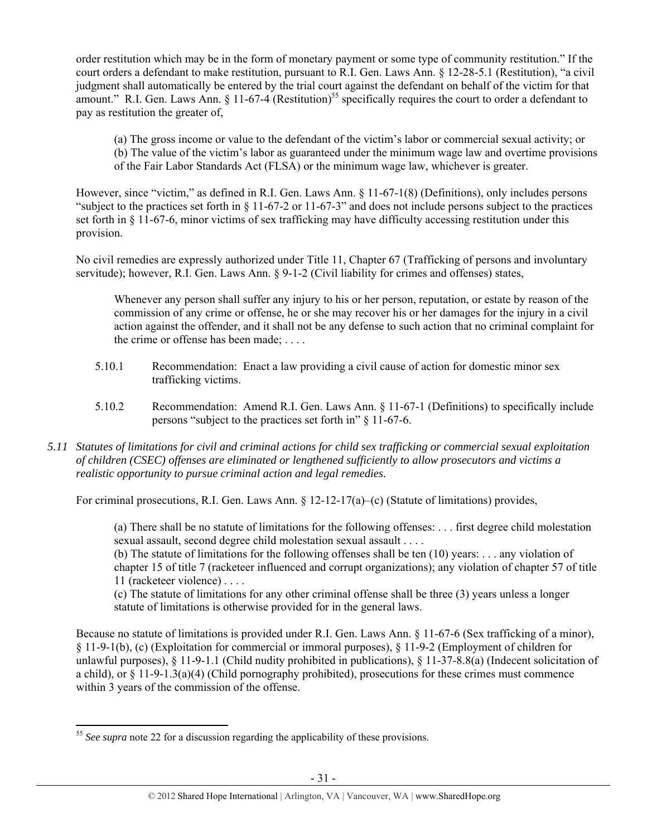order restitution which may be in the form of monetary payment or some type of community restitution." If the court orders a defendant to make restitution, pursuant to R.I. Gen. Laws Ann. § 12-28-5.1 (Restitution), "a civil judgment shall automatically be entered by the trial court against the defendant on behalf of the victim for that amount." R.I. Gen. Laws Ann.  $\S$  11-67-4 (Restitution)<sup>55</sup> specifically requires the court to order a defendant to pay as restitution the greater of,

(a) The gross income or value to the defendant of the victim's labor or commercial sexual activity; or (b) The value of the victim's labor as guaranteed under the minimum wage law and overtime provisions of the Fair Labor Standards Act (FLSA) or the minimum wage law, whichever is greater.

However, since "victim," as defined in R.I. Gen. Laws Ann. § 11-67-1(8) (Definitions), only includes persons "subject to the practices set forth in § 11-67-2 or 11-67-3" and does not include persons subject to the practices set forth in § 11-67-6, minor victims of sex trafficking may have difficulty accessing restitution under this provision.

No civil remedies are expressly authorized under Title 11, Chapter 67 (Trafficking of persons and involuntary servitude); however, R.I. Gen. Laws Ann. § 9-1-2 (Civil liability for crimes and offenses) states,

Whenever any person shall suffer any injury to his or her person, reputation, or estate by reason of the commission of any crime or offense, he or she may recover his or her damages for the injury in a civil action against the offender, and it shall not be any defense to such action that no criminal complaint for the crime or offense has been made; . . . .

- 5.10.1 Recommendation: Enact a law providing a civil cause of action for domestic minor sex trafficking victims.
- 5.10.2 Recommendation: Amend R.I. Gen. Laws Ann. § 11-67-1 (Definitions) to specifically include persons "subject to the practices set forth in" § 11-67-6.
- *5.11 Statutes of limitations for civil and criminal actions for child sex trafficking or commercial sexual exploitation of children (CSEC) offenses are eliminated or lengthened sufficiently to allow prosecutors and victims a realistic opportunity to pursue criminal action and legal remedies.*

For criminal prosecutions, R.I. Gen. Laws Ann. § 12-12-17(a)–(c) (Statute of limitations) provides,

(a) There shall be no statute of limitations for the following offenses: . . . first degree child molestation sexual assault, second degree child molestation sexual assault . . . . (b) The statute of limitations for the following offenses shall be ten (10) years: . . . any violation of chapter 15 of title 7 (racketeer influenced and corrupt organizations); any violation of chapter 57 of title

11 (racketeer violence) . . . .

(c) The statute of limitations for any other criminal offense shall be three (3) years unless a longer statute of limitations is otherwise provided for in the general laws.

Because no statute of limitations is provided under R.I. Gen. Laws Ann. § 11-67-6 (Sex trafficking of a minor), § 11-9-1(b), (c) (Exploitation for commercial or immoral purposes), § 11-9-2 (Employment of children for unlawful purposes), § 11-9-1.1 (Child nudity prohibited in publications), § 11-37-8.8(a) (Indecent solicitation of a child), or § 11-9-1.3(a)(4) (Child pornography prohibited), prosecutions for these crimes must commence within 3 years of the commission of the offense.

<sup>&</sup>lt;sup>55</sup> See supra note 22 for a discussion regarding the applicability of these provisions.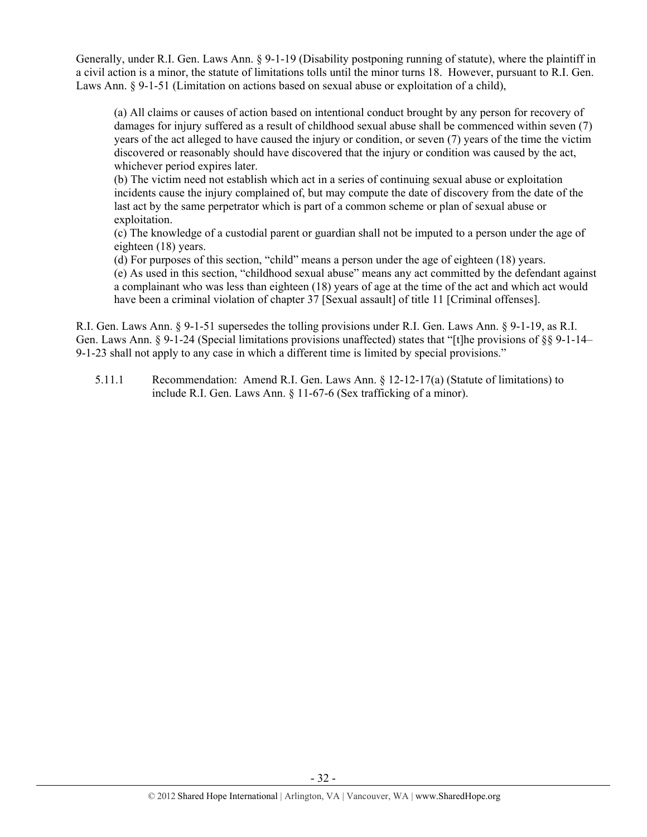Generally, under R.I. Gen. Laws Ann. § 9-1-19 (Disability postponing running of statute), where the plaintiff in a civil action is a minor, the statute of limitations tolls until the minor turns 18. However, pursuant to R.I. Gen. Laws Ann. § 9-1-51 (Limitation on actions based on sexual abuse or exploitation of a child),

(a) All claims or causes of action based on intentional conduct brought by any person for recovery of damages for injury suffered as a result of childhood sexual abuse shall be commenced within seven (7) years of the act alleged to have caused the injury or condition, or seven (7) years of the time the victim discovered or reasonably should have discovered that the injury or condition was caused by the act, whichever period expires later.

(b) The victim need not establish which act in a series of continuing sexual abuse or exploitation incidents cause the injury complained of, but may compute the date of discovery from the date of the last act by the same perpetrator which is part of a common scheme or plan of sexual abuse or exploitation.

(c) The knowledge of a custodial parent or guardian shall not be imputed to a person under the age of eighteen (18) years.

(d) For purposes of this section, "child" means a person under the age of eighteen (18) years. (e) As used in this section, "childhood sexual abuse" means any act committed by the defendant against a complainant who was less than eighteen (18) years of age at the time of the act and which act would have been a criminal violation of chapter 37 [Sexual assault] of title 11 [Criminal offenses].

R.I. Gen. Laws Ann. § 9-1-51 supersedes the tolling provisions under R.I. Gen. Laws Ann. § 9-1-19, as R.I. Gen. Laws Ann. § 9-1-24 (Special limitations provisions unaffected) states that "[t]he provisions of §§ 9-1-14– 9-1-23 shall not apply to any case in which a different time is limited by special provisions."

5.11.1 Recommendation: Amend R.I. Gen. Laws Ann. § 12-12-17(a) (Statute of limitations) to include R.I. Gen. Laws Ann. § 11-67-6 (Sex trafficking of a minor).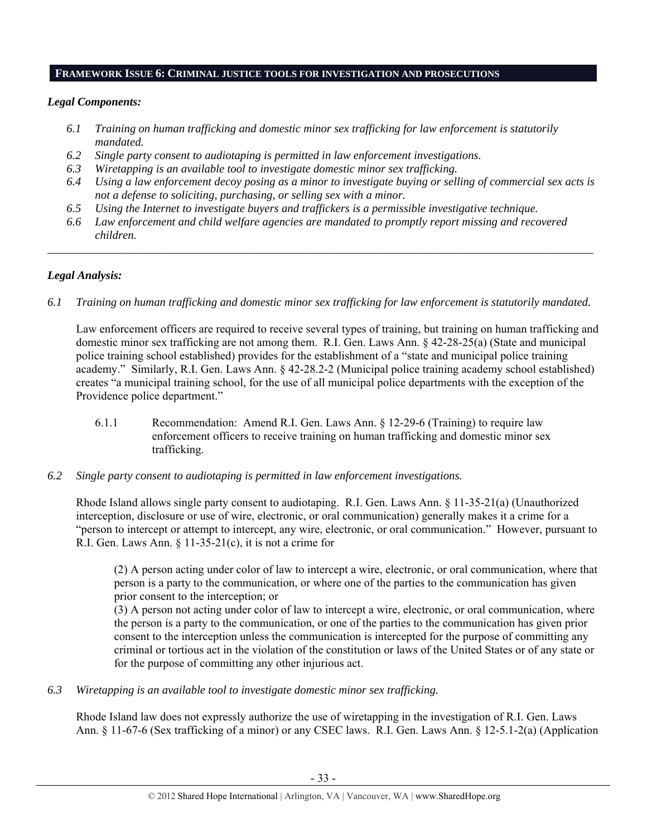#### **FRAMEWORK ISSUE 6: CRIMINAL JUSTICE TOOLS FOR INVESTIGATION AND PROSECUTIONS**

# *Legal Components:*

- *6.1 Training on human trafficking and domestic minor sex trafficking for law enforcement is statutorily mandated.*
- *6.2 Single party consent to audiotaping is permitted in law enforcement investigations.*
- *6.3 Wiretapping is an available tool to investigate domestic minor sex trafficking.*
- *6.4 Using a law enforcement decoy posing as a minor to investigate buying or selling of commercial sex acts is not a defense to soliciting, purchasing, or selling sex with a minor.*
- *6.5 Using the Internet to investigate buyers and traffickers is a permissible investigative technique.*
- *6.6 Law enforcement and child welfare agencies are mandated to promptly report missing and recovered children.*

*\_\_\_\_\_\_\_\_\_\_\_\_\_\_\_\_\_\_\_\_\_\_\_\_\_\_\_\_\_\_\_\_\_\_\_\_\_\_\_\_\_\_\_\_\_\_\_\_\_\_\_\_\_\_\_\_\_\_\_\_\_\_\_\_\_\_\_\_\_\_\_\_\_\_\_\_\_\_\_\_\_\_\_\_\_\_\_\_\_\_\_\_\_\_* 

# *Legal Analysis:*

*6.1 Training on human trafficking and domestic minor sex trafficking for law enforcement is statutorily mandated.*

Law enforcement officers are required to receive several types of training, but training on human trafficking and domestic minor sex trafficking are not among them. R.I. Gen. Laws Ann. § 42-28-25(a) (State and municipal police training school established) provides for the establishment of a "state and municipal police training academy." Similarly, R.I. Gen. Laws Ann. § 42-28.2-2 (Municipal police training academy school established) creates "a municipal training school, for the use of all municipal police departments with the exception of the Providence police department."

- 6.1.1 Recommendation: Amend R.I. Gen. Laws Ann. § 12-29-6 (Training) to require law enforcement officers to receive training on human trafficking and domestic minor sex trafficking.
- *6.2 Single party consent to audiotaping is permitted in law enforcement investigations.*

Rhode Island allows single party consent to audiotaping. R.I. Gen. Laws Ann. § 11-35-21(a) (Unauthorized interception, disclosure or use of wire, electronic, or oral communication) generally makes it a crime for a "person to intercept or attempt to intercept, any wire, electronic, or oral communication." However, pursuant to R.I. Gen. Laws Ann.  $\S 11-35-21(c)$ , it is not a crime for

(2) A person acting under color of law to intercept a wire, electronic, or oral communication, where that person is a party to the communication, or where one of the parties to the communication has given prior consent to the interception; or

(3) A person not acting under color of law to intercept a wire, electronic, or oral communication, where the person is a party to the communication, or one of the parties to the communication has given prior consent to the interception unless the communication is intercepted for the purpose of committing any criminal or tortious act in the violation of the constitution or laws of the United States or of any state or for the purpose of committing any other injurious act.

*6.3 Wiretapping is an available tool to investigate domestic minor sex trafficking.* 

Rhode Island law does not expressly authorize the use of wiretapping in the investigation of R.I. Gen. Laws Ann. § 11-67-6 (Sex trafficking of a minor) or any CSEC laws. R.I. Gen. Laws Ann. § 12-5.1-2(a) (Application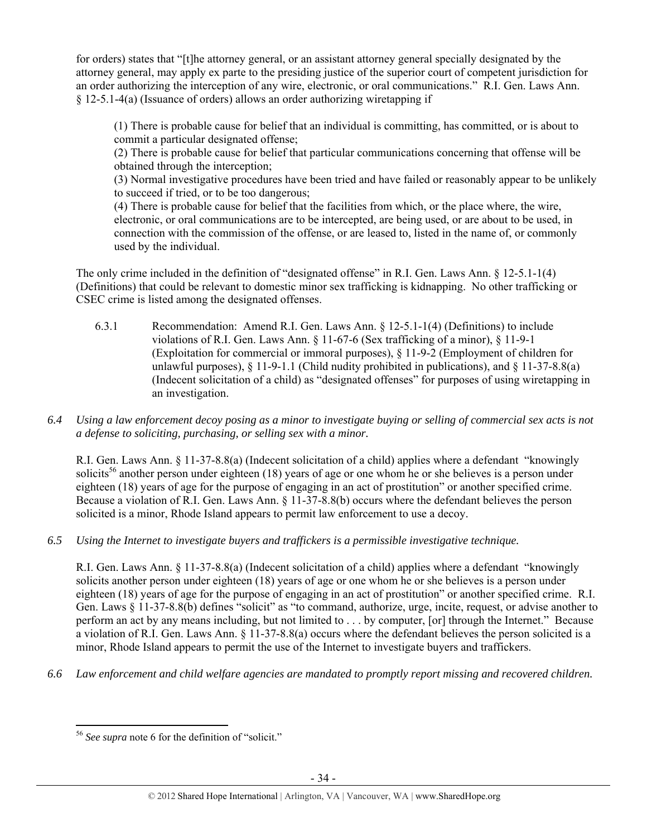for orders) states that "[t]he attorney general, or an assistant attorney general specially designated by the attorney general, may apply ex parte to the presiding justice of the superior court of competent jurisdiction for an order authorizing the interception of any wire, electronic, or oral communications." R.I. Gen. Laws Ann. § 12-5.1-4(a) (Issuance of orders) allows an order authorizing wiretapping if

(1) There is probable cause for belief that an individual is committing, has committed, or is about to commit a particular designated offense;

(2) There is probable cause for belief that particular communications concerning that offense will be obtained through the interception;

(3) Normal investigative procedures have been tried and have failed or reasonably appear to be unlikely to succeed if tried, or to be too dangerous;

(4) There is probable cause for belief that the facilities from which, or the place where, the wire, electronic, or oral communications are to be intercepted, are being used, or are about to be used, in connection with the commission of the offense, or are leased to, listed in the name of, or commonly used by the individual.

The only crime included in the definition of "designated offense" in R.I. Gen. Laws Ann. § 12-5.1-1(4) (Definitions) that could be relevant to domestic minor sex trafficking is kidnapping. No other trafficking or CSEC crime is listed among the designated offenses.

- 6.3.1 Recommendation: Amend R.I. Gen. Laws Ann. § 12-5.1-1(4) (Definitions) to include violations of R.I. Gen. Laws Ann. § 11-67-6 (Sex trafficking of a minor), § 11-9-1 (Exploitation for commercial or immoral purposes), § 11-9-2 (Employment of children for unlawful purposes),  $\S$  11-9-1.1 (Child nudity prohibited in publications), and  $\S$  11-37-8.8(a) (Indecent solicitation of a child) as "designated offenses" for purposes of using wiretapping in an investigation.
- *6.4 Using a law enforcement decoy posing as a minor to investigate buying or selling of commercial sex acts is not a defense to soliciting, purchasing, or selling sex with a minor.*

R.I. Gen. Laws Ann. § 11-37-8.8(a) (Indecent solicitation of a child) applies where a defendant "knowingly solicits<sup>56</sup> another person under eighteen (18) years of age or one whom he or she believes is a person under eighteen (18) years of age for the purpose of engaging in an act of prostitution" or another specified crime. Because a violation of R.I. Gen. Laws Ann. § 11-37-8.8(b) occurs where the defendant believes the person solicited is a minor, Rhode Island appears to permit law enforcement to use a decoy.

*6.5 Using the Internet to investigate buyers and traffickers is a permissible investigative technique.* 

R.I. Gen. Laws Ann. § 11-37-8.8(a) (Indecent solicitation of a child) applies where a defendant "knowingly solicits another person under eighteen (18) years of age or one whom he or she believes is a person under eighteen (18) years of age for the purpose of engaging in an act of prostitution" or another specified crime. R.I. Gen. Laws § 11-37-8.8(b) defines "solicit" as "to command, authorize, urge, incite, request, or advise another to perform an act by any means including, but not limited to . . . by computer, [or] through the Internet." Because a violation of R.I. Gen. Laws Ann. § 11-37-8.8(a) occurs where the defendant believes the person solicited is a minor, Rhode Island appears to permit the use of the Internet to investigate buyers and traffickers.

*6.6 Law enforcement and child welfare agencies are mandated to promptly report missing and recovered children.* 

 <sup>56</sup> *See supra* note 6 for the definition of "solicit."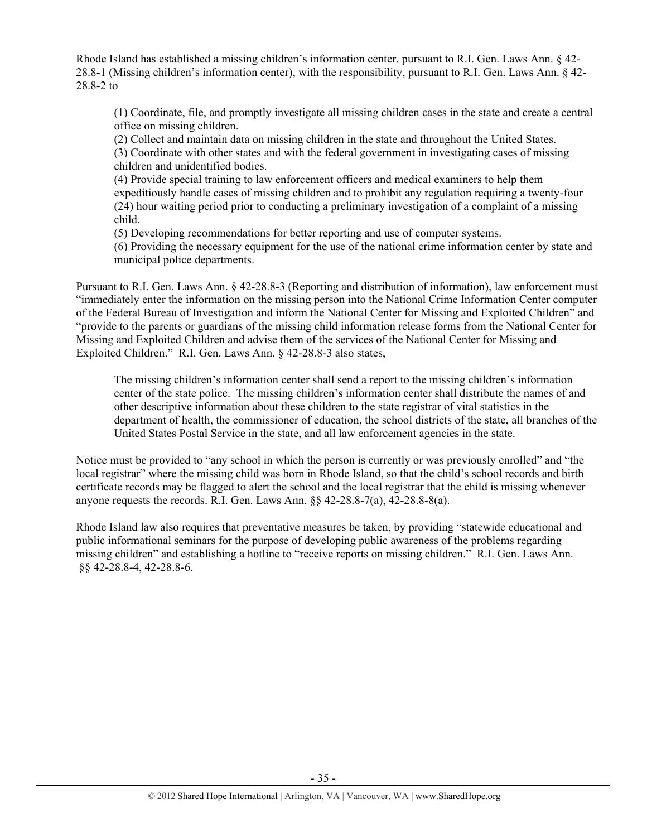Rhode Island has established a missing children's information center, pursuant to R.I. Gen. Laws Ann. § 42- 28.8-1 (Missing children's information center), with the responsibility, pursuant to R.I. Gen. Laws Ann. § 42- 28.8-2 to

(1) Coordinate, file, and promptly investigate all missing children cases in the state and create a central office on missing children.

(2) Collect and maintain data on missing children in the state and throughout the United States. (3) Coordinate with other states and with the federal government in investigating cases of missing children and unidentified bodies.

(4) Provide special training to law enforcement officers and medical examiners to help them expeditiously handle cases of missing children and to prohibit any regulation requiring a twenty-four (24) hour waiting period prior to conducting a preliminary investigation of a complaint of a missing child.

(5) Developing recommendations for better reporting and use of computer systems.

(6) Providing the necessary equipment for the use of the national crime information center by state and municipal police departments.

Pursuant to R.I. Gen. Laws Ann. § 42-28.8-3 (Reporting and distribution of information), law enforcement must "immediately enter the information on the missing person into the National Crime Information Center computer of the Federal Bureau of Investigation and inform the National Center for Missing and Exploited Children" and "provide to the parents or guardians of the missing child information release forms from the National Center for Missing and Exploited Children and advise them of the services of the National Center for Missing and Exploited Children." R.I. Gen. Laws Ann. § 42-28.8-3 also states,

The missing children's information center shall send a report to the missing children's information center of the state police. The missing children's information center shall distribute the names of and other descriptive information about these children to the state registrar of vital statistics in the department of health, the commissioner of education, the school districts of the state, all branches of the United States Postal Service in the state, and all law enforcement agencies in the state.

Notice must be provided to "any school in which the person is currently or was previously enrolled" and "the local registrar" where the missing child was born in Rhode Island, so that the child's school records and birth certificate records may be flagged to alert the school and the local registrar that the child is missing whenever anyone requests the records. R.I. Gen. Laws Ann. §§ 42-28.8-7(a), 42-28.8-8(a).

Rhode Island law also requires that preventative measures be taken, by providing "statewide educational and public informational seminars for the purpose of developing public awareness of the problems regarding missing children" and establishing a hotline to "receive reports on missing children." R.I. Gen. Laws Ann. §§ 42-28.8-4, 42-28.8-6.